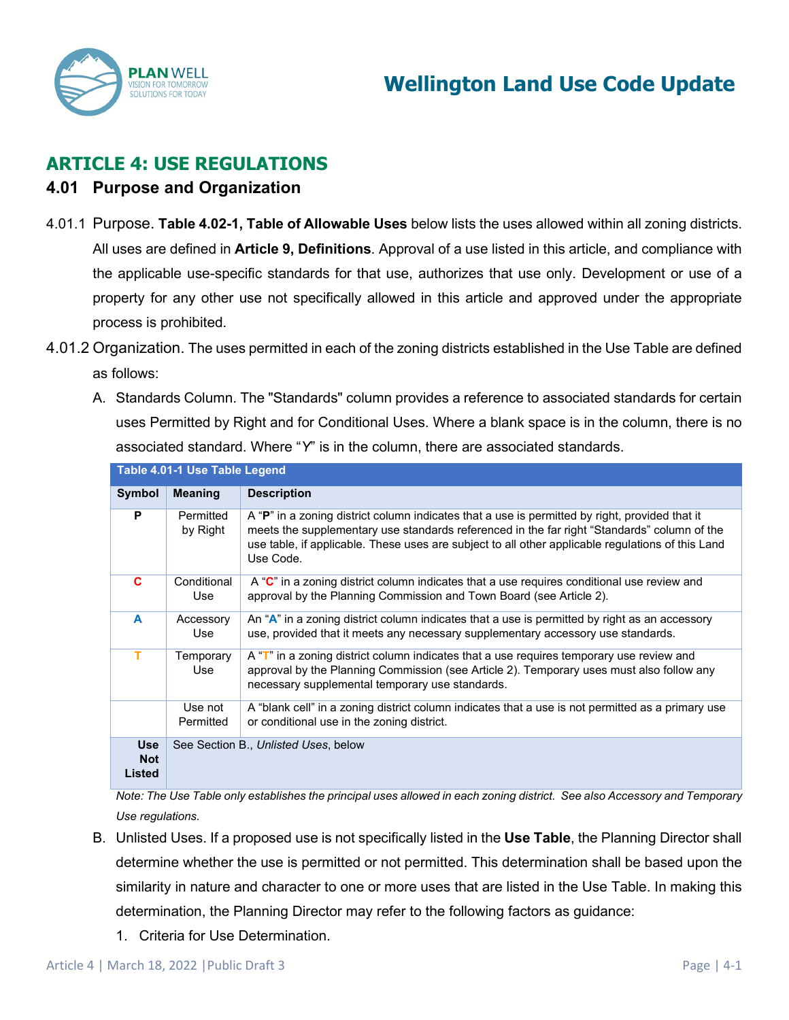

# **ARTICLE 4: USE REGULATIONS**

### **4.01 Purpose and Organization**

- 4.01.1 Purpose. **Table 4.02-1, Table of Allowable Uses** below lists the uses allowed within all zoning districts. All uses are defined in **Article 9, Definitions**. Approval of a use listed in this article, and compliance with the applicable use-specific standards for that use, authorizes that use only. Development or use of a property for any other use not specifically allowed in this article and approved under the appropriate process is prohibited.
- 4.01.2 Organization. The uses permitted in each of the zoning districts established in the Use Table are defined as follows:
	- A. Standards Column. The "Standards" column provides a reference to associated standards for certain uses Permitted by Right and for Conditional Uses. Where a blank space is in the column, there is no associated standard. Where "*Y*" is in the column, there are associated standards.

|                                    | Table 4.01-1 Use Table Legend |                                                                                                                                                                                                                                                                                                                 |
|------------------------------------|-------------------------------|-----------------------------------------------------------------------------------------------------------------------------------------------------------------------------------------------------------------------------------------------------------------------------------------------------------------|
| Symbol                             | <b>Meaning</b>                | <b>Description</b>                                                                                                                                                                                                                                                                                              |
| P                                  | Permitted<br>by Right         | A "P" in a zoning district column indicates that a use is permitted by right, provided that it<br>meets the supplementary use standards referenced in the far right "Standards" column of the<br>use table, if applicable. These uses are subject to all other applicable regulations of this Land<br>Use Code. |
| C                                  | Conditional<br>Use            | A "C" in a zoning district column indicates that a use requires conditional use review and<br>approval by the Planning Commission and Town Board (see Article 2).                                                                                                                                               |
| A                                  | Accessory<br>Use              | An "A" in a zoning district column indicates that a use is permitted by right as an accessory<br>use, provided that it meets any necessary supplementary accessory use standards.                                                                                                                               |
| т                                  | Temporary<br>Use              | A "T" in a zoning district column indicates that a use requires temporary use review and<br>approval by the Planning Commission (see Article 2). Temporary uses must also follow any<br>necessary supplemental temporary use standards.                                                                         |
|                                    | Use not<br>Permitted          | A "blank cell" in a zoning district column indicates that a use is not permitted as a primary use<br>or conditional use in the zoning district.                                                                                                                                                                 |
| <b>Use</b><br><b>Not</b><br>Listed |                               | See Section B., Unlisted Uses, below                                                                                                                                                                                                                                                                            |

*Note: The Use Table only establishes the principal uses allowed in each zoning district. See also Accessory and Temporary Use regulations.*

- B. Unlisted Uses. If a proposed use is not specifically listed in the **Use Table**, the Planning Director shall determine whether the use is permitted or not permitted. This determination shall be based upon the similarity in nature and character to one or more uses that are listed in the Use Table. In making this determination, the Planning Director may refer to the following factors as guidance:
	- 1. Criteria for Use Determination.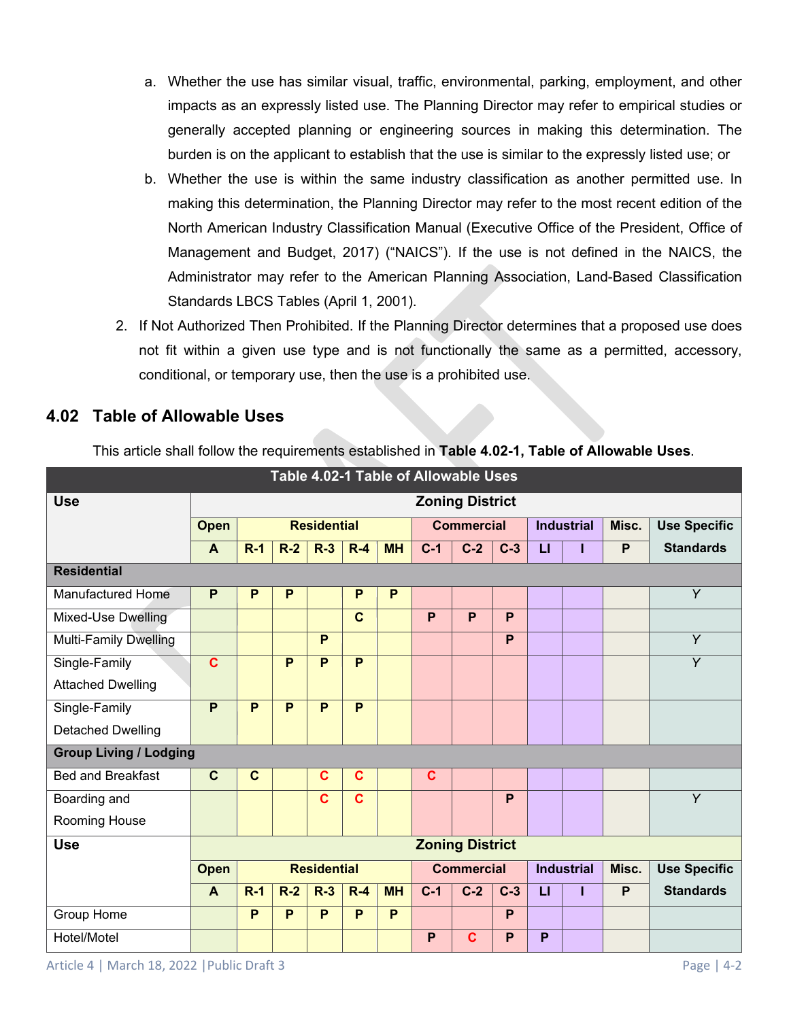- a. Whether the use has similar visual, traffic, environmental, parking, employment, and other impacts as an expressly listed use. The Planning Director may refer to empirical studies or generally accepted planning or engineering sources in making this determination. The burden is on the applicant to establish that the use is similar to the expressly listed use; or
- b. Whether the use is within the same industry classification as another permitted use. In making this determination, the Planning Director may refer to the most recent edition of the North American Industry Classification Manual (Executive Office of the President, Office of Management and Budget, 2017) ("NAICS"). If the use is not defined in the NAICS, the Administrator may refer to the American Planning Association, Land-Based Classification Standards LBCS Tables (April 1, 2001).
- 2. If Not Authorized Then Prohibited. If the Planning Director determines that a proposed use does not fit within a given use type and is not functionally the same as a permitted, accessory, conditional, or temporary use, then the use is a prohibited use.

# **4.02 Table of Allowable Uses**

| Table 4.02-1 Table of Allowable Uses |                |                        |                    |                    |              |           |                   |                        |       |                   |                   |       |                     |
|--------------------------------------|----------------|------------------------|--------------------|--------------------|--------------|-----------|-------------------|------------------------|-------|-------------------|-------------------|-------|---------------------|
| <b>Use</b>                           |                | <b>Zoning District</b> |                    |                    |              |           |                   |                        |       |                   |                   |       |                     |
|                                      | <b>Open</b>    |                        |                    | <b>Residential</b> |              |           | <b>Commercial</b> |                        |       | <b>Industrial</b> |                   | Misc. | <b>Use Specific</b> |
|                                      | $\overline{A}$ | $R-1$                  | $R-2$              | $R-3$              | $R-4$        | <b>MH</b> | $C-1$             | $C-2$                  | $C-3$ | $\overline{L}$    |                   | P     | <b>Standards</b>    |
| <b>Residential</b>                   |                |                        |                    |                    |              |           |                   |                        |       |                   |                   |       |                     |
| <b>Manufactured Home</b>             | P              | P                      | P                  |                    | P            | P         |                   |                        |       |                   |                   |       | $\overline{Y}$      |
| Mixed-Use Dwelling                   |                |                        |                    |                    | $\mathbf{C}$ |           | P                 | P                      | P     |                   |                   |       |                     |
| <b>Multi-Family Dwelling</b>         |                |                        |                    | P                  |              |           |                   |                        | P     |                   |                   |       | $\overline{Y}$      |
| Single-Family                        | $\mathbf c$    |                        | P                  | P                  | P            |           |                   |                        |       |                   |                   |       | Y                   |
| <b>Attached Dwelling</b>             |                |                        |                    |                    |              |           |                   |                        |       |                   |                   |       |                     |
| Single-Family                        | P              | P                      | P                  | P                  | P            |           |                   |                        |       |                   |                   |       |                     |
| <b>Detached Dwelling</b>             |                |                        |                    |                    |              |           |                   |                        |       |                   |                   |       |                     |
| <b>Group Living / Lodging</b>        |                |                        |                    |                    |              |           |                   |                        |       |                   |                   |       |                     |
| <b>Bed and Breakfast</b>             | $\mathbf{C}$   | $\mathbf c$            |                    | $\mathbf c$        | $\mathbf c$  |           | $\mathbf c$       |                        |       |                   |                   |       |                     |
| Boarding and                         |                |                        |                    | $\mathbf c$        | $\mathbf c$  |           |                   |                        | P     |                   |                   |       | Y                   |
| Rooming House                        |                |                        |                    |                    |              |           |                   |                        |       |                   |                   |       |                     |
| <b>Use</b>                           |                |                        |                    |                    |              |           |                   | <b>Zoning District</b> |       |                   |                   |       |                     |
|                                      | <b>Open</b>    |                        | <b>Residential</b> |                    |              |           |                   | <b>Commercial</b>      |       |                   | <b>Industrial</b> | Misc. | <b>Use Specific</b> |
|                                      | $\mathbf{A}$   | $R-1$                  | $R-2$              | $R-3$              | $R-4$        | <b>MH</b> | $C-1$             | $C-2$                  | $C-3$ | п                 |                   | P     | <b>Standards</b>    |
| Group Home                           |                | P                      | P                  | P                  | P            | P         |                   |                        | P     |                   |                   |       |                     |
| Hotel/Motel                          |                |                        |                    |                    |              |           | P                 | C                      | P     | P                 |                   |       |                     |

This article shall follow the requirements established in **Table 4.02-1, Table of Allowable Uses**.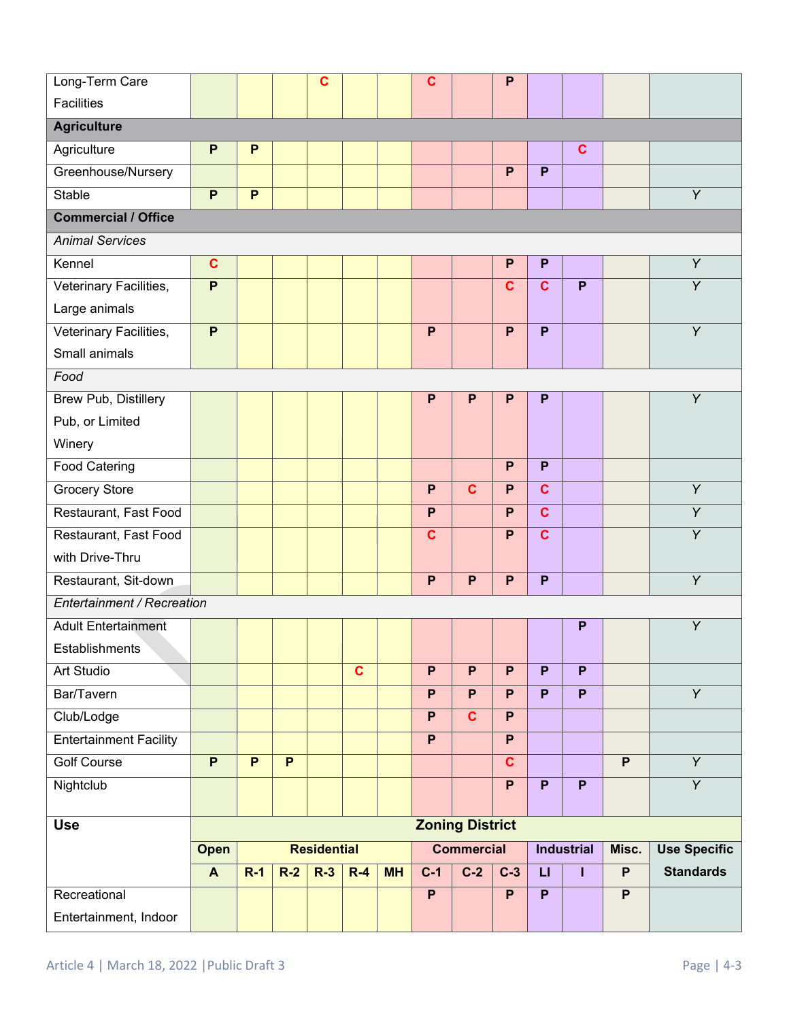| Long-Term Care                |                |                |                | C                  |              |           | $\mathbf c$    |                        | $\mathsf{P}$            |                         |                   |                |                     |
|-------------------------------|----------------|----------------|----------------|--------------------|--------------|-----------|----------------|------------------------|-------------------------|-------------------------|-------------------|----------------|---------------------|
| <b>Facilities</b>             |                |                |                |                    |              |           |                |                        |                         |                         |                   |                |                     |
| <b>Agriculture</b>            |                |                |                |                    |              |           |                |                        |                         |                         |                   |                |                     |
| Agriculture                   | $\mathsf{P}$   | P              |                |                    |              |           |                |                        |                         |                         | $\mathbf c$       |                |                     |
| Greenhouse/Nursery            |                |                |                |                    |              |           |                |                        | P                       | P                       |                   |                |                     |
| Stable                        | $\mathsf{P}$   | P              |                |                    |              |           |                |                        |                         |                         |                   |                | Y                   |
| <b>Commercial / Office</b>    |                |                |                |                    |              |           |                |                        |                         |                         |                   |                |                     |
| <b>Animal Services</b>        |                |                |                |                    |              |           |                |                        |                         |                         |                   |                |                     |
| Kennel                        | $\mathbf c$    |                |                |                    |              |           |                |                        | $\mathsf{P}$            | P                       |                   |                | $\overline{Y}$      |
| Veterinary Facilities,        | $\overline{P}$ |                |                |                    |              |           |                |                        | $\mathbf{C}$            | $\overline{\mathbf{c}}$ | P                 |                | $\overline{Y}$      |
| Large animals                 |                |                |                |                    |              |           |                |                        |                         |                         |                   |                |                     |
| Veterinary Facilities,        | P              |                |                |                    |              |           | $\mathsf{P}$   |                        | P                       | P                       |                   |                | Y                   |
| Small animals                 |                |                |                |                    |              |           |                |                        |                         |                         |                   |                |                     |
| Food                          |                |                |                |                    |              |           |                |                        |                         |                         |                   |                |                     |
| <b>Brew Pub, Distillery</b>   |                |                |                |                    |              |           | $\mathsf{P}$   | $\mathsf{P}$           | $\mathsf{P}$            | P                       |                   |                | $\overline{Y}$      |
| Pub, or Limited               |                |                |                |                    |              |           |                |                        |                         |                         |                   |                |                     |
| Winery                        |                |                |                |                    |              |           |                |                        |                         |                         |                   |                |                     |
| <b>Food Catering</b>          |                |                |                |                    |              |           |                |                        | P                       | P                       |                   |                |                     |
| <b>Grocery Store</b>          |                |                |                |                    |              |           | $\mathsf{P}$   | $\mathbf{C}$           | P                       | $\mathbf c$             |                   |                | Y                   |
| Restaurant, Fast Food         |                |                |                |                    |              |           | $\mathsf{P}$   |                        | P                       | $\mathbf c$             |                   |                | Y                   |
| Restaurant, Fast Food         |                |                |                |                    |              |           | $\mathbf c$    |                        | P                       | $\mathbf c$             |                   |                | Y                   |
| with Drive-Thru               |                |                |                |                    |              |           |                |                        |                         |                         |                   |                |                     |
| Restaurant, Sit-down          |                |                |                |                    |              |           | P              | P                      | P                       | P                       |                   |                | $\overline{Y}$      |
| Entertainment / Recreation    |                |                |                |                    |              |           |                |                        |                         |                         |                   |                |                     |
| <b>Adult Entertainment</b>    |                |                |                |                    |              |           |                |                        |                         |                         | P                 |                | Y                   |
| Establishments                |                |                |                |                    |              |           |                |                        |                         |                         |                   |                |                     |
| Art Studio                    |                |                |                |                    | $\mathbf{C}$ |           | P              | $\overline{P}$         | P                       | P                       | P                 |                |                     |
| Bar/Tavern                    |                |                |                |                    |              |           | P              | P                      | P                       | P                       | P                 |                | $\overline{Y}$      |
| Club/Lodge                    |                |                |                |                    |              |           | $\overline{P}$ | $\overline{c}$         | $\overline{P}$          |                         |                   |                |                     |
| <b>Entertainment Facility</b> |                |                |                |                    |              |           | $\overline{P}$ |                        | $\overline{P}$          |                         |                   |                |                     |
| <b>Golf Course</b>            | $\overline{P}$ | $\overline{P}$ | $\overline{P}$ |                    |              |           |                |                        | $\overline{\mathbf{c}}$ |                         |                   | $\overline{P}$ | $\overline{Y}$      |
| Nightclub                     |                |                |                |                    |              |           |                |                        | $\overline{P}$          | P                       | P                 |                | $\overline{Y}$      |
|                               |                |                |                |                    |              |           |                |                        |                         |                         |                   |                |                     |
| <b>Use</b>                    |                |                |                |                    |              |           |                | <b>Zoning District</b> |                         |                         |                   |                |                     |
|                               | Open           |                |                | <b>Residential</b> |              |           |                | <b>Commercial</b>      |                         |                         | <b>Industrial</b> | Misc.          | <b>Use Specific</b> |
|                               | $\mathbf{A}$   | $R-1$          | $R-2$          | $R-3$              | $R-4$        | <b>MH</b> | $C-1$          | $C-2$                  | $C-3$                   | $\mathbf{L}$            | T                 | $\mathsf{P}$   | <b>Standards</b>    |
| Recreational                  |                |                |                |                    |              |           | $\overline{P}$ |                        | $\overline{P}$          | $\overline{P}$          |                   | $\overline{P}$ |                     |
| Entertainment, Indoor         |                |                |                |                    |              |           |                |                        |                         |                         |                   |                |                     |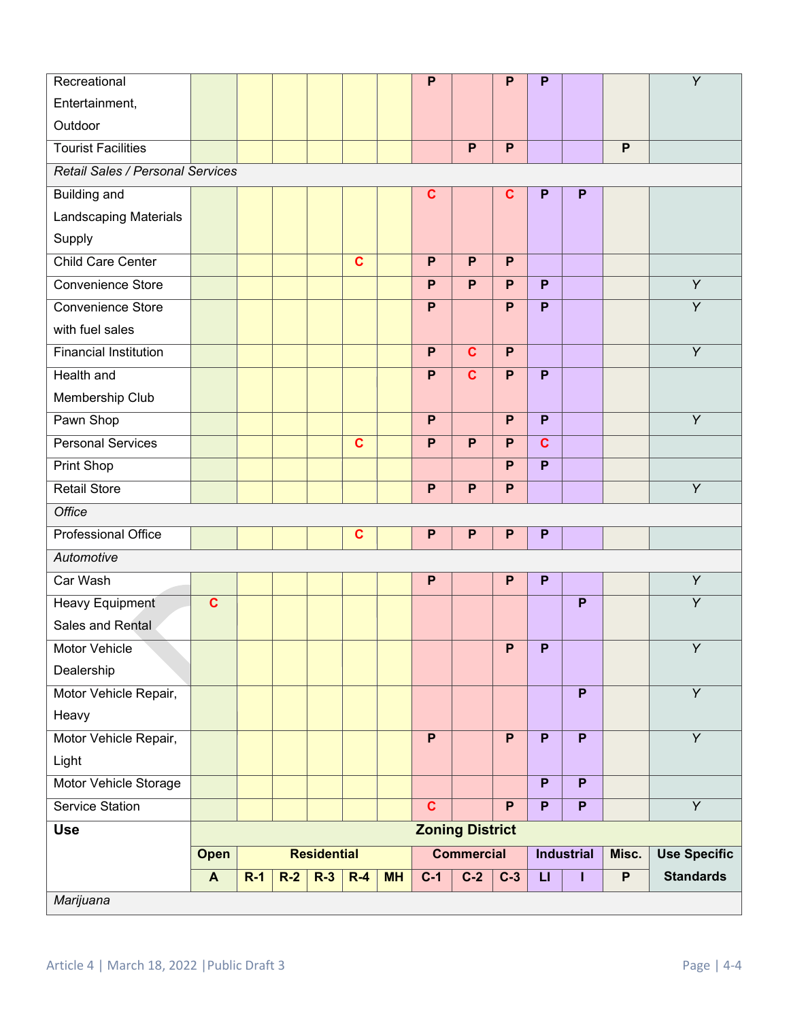| Recreational                     |                         |       |       |                    |              |           | P              |                         | $\mathsf{P}$              | P                         |                           |                | Y                   |
|----------------------------------|-------------------------|-------|-------|--------------------|--------------|-----------|----------------|-------------------------|---------------------------|---------------------------|---------------------------|----------------|---------------------|
| Entertainment,                   |                         |       |       |                    |              |           |                |                         |                           |                           |                           |                |                     |
| Outdoor                          |                         |       |       |                    |              |           |                |                         |                           |                           |                           |                |                     |
| <b>Tourist Facilities</b>        |                         |       |       |                    |              |           |                | P                       | P                         |                           |                           | P              |                     |
| Retail Sales / Personal Services |                         |       |       |                    |              |           |                |                         |                           |                           |                           |                |                     |
| <b>Building and</b>              |                         |       |       |                    |              |           | $\mathbf c$    |                         | $\mathbf c$               | P                         | P                         |                |                     |
| Landscaping Materials            |                         |       |       |                    |              |           |                |                         |                           |                           |                           |                |                     |
| Supply                           |                         |       |       |                    |              |           |                |                         |                           |                           |                           |                |                     |
| <b>Child Care Center</b>         |                         |       |       |                    | $\mathbf{C}$ |           | P              | P                       | P                         |                           |                           |                |                     |
| <b>Convenience Store</b>         |                         |       |       |                    |              |           | P              | P                       | P                         | P                         |                           |                | $\overline{Y}$      |
| Convenience Store                |                         |       |       |                    |              |           | P              |                         | P                         | P                         |                           |                | $\overline{Y}$      |
| with fuel sales                  |                         |       |       |                    |              |           |                |                         |                           |                           |                           |                |                     |
| <b>Financial Institution</b>     |                         |       |       |                    |              |           | $\mathsf{P}$   | $\mathbf{C}$            | P                         |                           |                           |                | $\overline{Y}$      |
| <b>Health and</b>                |                         |       |       |                    |              |           | $\mathsf{P}$   | $\overline{\mathbf{c}}$ | P                         | P                         |                           |                |                     |
| Membership Club                  |                         |       |       |                    |              |           |                |                         |                           |                           |                           |                |                     |
| Pawn Shop                        |                         |       |       |                    |              |           | P              |                         | P                         | P                         |                           |                | Y                   |
| <b>Personal Services</b>         |                         |       |       |                    | $\mathbf c$  |           | P              | P                       | P                         | $\mathbf c$               |                           |                |                     |
| Print Shop                       |                         |       |       |                    |              |           |                |                         | P                         | P                         |                           |                |                     |
| <b>Retail Store</b>              |                         |       |       |                    |              |           | $\mathsf{P}$   | P                       | $\mathsf{P}$              |                           |                           |                | $\overline{Y}$      |
| <b>Office</b>                    |                         |       |       |                    |              |           |                |                         |                           |                           |                           |                |                     |
| Professional Office              |                         |       |       |                    | $\mathbf c$  |           | $\mathsf{P}$   | P                       | $\mathsf{P}$              | P                         |                           |                |                     |
| Automotive                       |                         |       |       |                    |              |           |                |                         |                           |                           |                           |                |                     |
| Car Wash                         |                         |       |       |                    |              |           | $\mathsf{P}$   |                         | P                         | P                         |                           |                | $\overline{Y}$      |
| <b>Heavy Equipment</b>           | $\overline{\mathbf{c}}$ |       |       |                    |              |           |                |                         |                           |                           | $\overline{P}$            |                | $\overline{Y}$      |
| Sales and Rental                 |                         |       |       |                    |              |           |                |                         |                           |                           |                           |                |                     |
| Motor Vehicle                    |                         |       |       |                    |              |           |                |                         | $\boldsymbol{\mathsf{P}}$ | $\boldsymbol{\mathsf{P}}$ |                           |                | Υ                   |
| Dealership                       |                         |       |       |                    |              |           |                |                         |                           |                           |                           |                |                     |
| Motor Vehicle Repair,            |                         |       |       |                    |              |           |                |                         |                           |                           | $\overline{P}$            |                | $\overline{Y}$      |
| Heavy                            |                         |       |       |                    |              |           |                |                         |                           |                           |                           |                |                     |
| Motor Vehicle Repair,            |                         |       |       |                    |              |           | $\overline{P}$ |                         | $\overline{P}$            | $\overline{P}$            | $\overline{P}$            |                | $\overline{Y}$      |
| Light                            |                         |       |       |                    |              |           |                |                         |                           |                           |                           |                |                     |
| Motor Vehicle Storage            |                         |       |       |                    |              |           |                |                         |                           | P                         | $\overline{P}$            |                |                     |
| Service Station                  |                         |       |       |                    |              |           | $\mathbf{C}$   |                         | P                         | P                         | $\boldsymbol{\mathsf{P}}$ |                | $\overline{Y}$      |
| <b>Use</b>                       |                         |       |       |                    |              |           |                | <b>Zoning District</b>  |                           |                           |                           |                |                     |
|                                  | Open                    |       |       | <b>Residential</b> |              |           |                | <b>Commercial</b>       |                           |                           | <b>Industrial</b>         | Misc.          | <b>Use Specific</b> |
|                                  | $\blacktriangle$        | $R-1$ | $R-2$ | $R-3$              | $R-4$        | <b>MH</b> | $C-1$          | $C-2$                   | $C-3$                     | $\mathsf{L}$              | ı                         | $\overline{P}$ | <b>Standards</b>    |
| Marijuana                        |                         |       |       |                    |              |           |                |                         |                           |                           |                           |                |                     |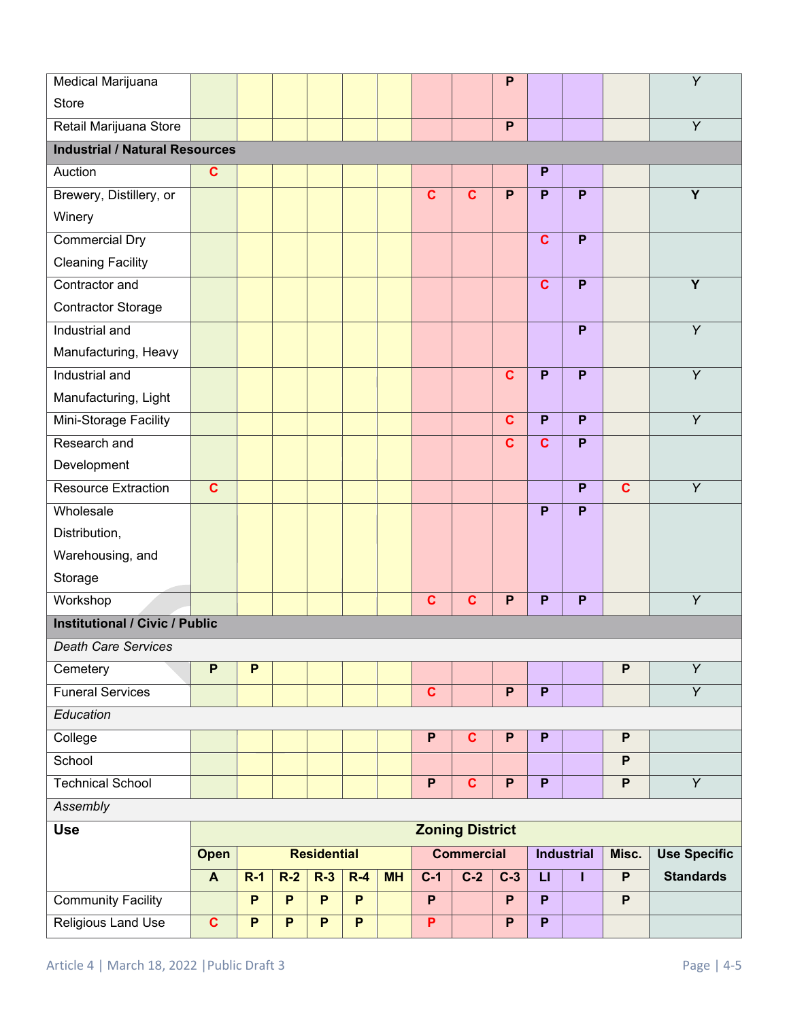| Medical Marijuana                     |                         |              |              |                    |       |           |                         |                        | $\mathsf{P}$   |                |                   |                           | Y                   |
|---------------------------------------|-------------------------|--------------|--------------|--------------------|-------|-----------|-------------------------|------------------------|----------------|----------------|-------------------|---------------------------|---------------------|
| <b>Store</b>                          |                         |              |              |                    |       |           |                         |                        |                |                |                   |                           |                     |
| Retail Marijuana Store                |                         |              |              |                    |       |           |                         |                        | P              |                |                   |                           | $\overline{Y}$      |
| <b>Industrial / Natural Resources</b> |                         |              |              |                    |       |           |                         |                        |                |                |                   |                           |                     |
| Auction                               | $\mathbf c$             |              |              |                    |       |           |                         |                        |                | P              |                   |                           |                     |
| Brewery, Distillery, or               |                         |              |              |                    |       |           | $\mathbf c$             | C                      | P              | P              | P                 |                           | Y                   |
| Winery                                |                         |              |              |                    |       |           |                         |                        |                |                |                   |                           |                     |
| <b>Commercial Dry</b>                 |                         |              |              |                    |       |           |                         |                        |                | $\mathbf{C}$   | $\overline{P}$    |                           |                     |
| <b>Cleaning Facility</b>              |                         |              |              |                    |       |           |                         |                        |                |                |                   |                           |                     |
| Contractor and                        |                         |              |              |                    |       |           |                         |                        |                | $\mathbf{C}$   | P                 |                           | $\overline{Y}$      |
| <b>Contractor Storage</b>             |                         |              |              |                    |       |           |                         |                        |                |                |                   |                           |                     |
| Industrial and                        |                         |              |              |                    |       |           |                         |                        |                |                | P                 |                           | $\overline{Y}$      |
| Manufacturing, Heavy                  |                         |              |              |                    |       |           |                         |                        |                |                |                   |                           |                     |
| Industrial and                        |                         |              |              |                    |       |           |                         |                        | $\mathbf c$    | $\overline{P}$ | P                 |                           | $\overline{Y}$      |
| Manufacturing, Light                  |                         |              |              |                    |       |           |                         |                        |                |                |                   |                           |                     |
| Mini-Storage Facility                 |                         |              |              |                    |       |           |                         |                        | $\mathbf c$    | P              | P                 |                           | Y                   |
| Research and                          |                         |              |              |                    |       |           |                         |                        | $\mathbf c$    | $\mathbf c$    | P                 |                           |                     |
| Development                           |                         |              |              |                    |       |           |                         |                        |                |                |                   |                           |                     |
| Resource Extraction                   | $\overline{\mathbf{c}}$ |              |              |                    |       |           |                         |                        |                |                | $\overline{P}$    | $\overline{\mathbf{c}}$   | $\overline{Y}$      |
| Wholesale                             |                         |              |              |                    |       |           |                         |                        |                | P              | P                 |                           |                     |
| Distribution,                         |                         |              |              |                    |       |           |                         |                        |                |                |                   |                           |                     |
| Warehousing, and                      |                         |              |              |                    |       |           |                         |                        |                |                |                   |                           |                     |
| Storage                               |                         |              |              |                    |       |           |                         |                        |                |                |                   |                           |                     |
| Workshop                              |                         |              |              |                    |       |           | $\mathbf{C}$            | $\mathbf c$            | $\mathsf{P}$   | P              | $\mathsf{P}$      |                           | Y                   |
| <b>Institutional / Civic / Public</b> |                         |              |              |                    |       |           |                         |                        |                |                |                   |                           |                     |
| <b>Death Care Services</b>            |                         |              |              |                    |       |           |                         |                        |                |                |                   |                           |                     |
| Cemetery                              | P                       | P            |              |                    |       |           |                         |                        |                |                |                   | $\boldsymbol{\mathsf{P}}$ | $\overline{Y}$      |
| <b>Funeral Services</b>               |                         |              |              |                    |       |           | $\overline{\mathbf{c}}$ |                        | $\overline{P}$ | $\overline{P}$ |                   |                           | $\overline{Y}$      |
| Education                             |                         |              |              |                    |       |           |                         |                        |                |                |                   |                           |                     |
| College                               |                         |              |              |                    |       |           | P                       | C                      | P              | P              |                   | P                         |                     |
| School                                |                         |              |              |                    |       |           |                         |                        |                |                |                   | P                         |                     |
| <b>Technical School</b>               |                         |              |              |                    |       |           | $\overline{P}$          | C                      | $\mathsf{P}$   | $\overline{P}$ |                   | $\boldsymbol{\mathsf{P}}$ | $\overline{Y}$      |
| Assembly                              |                         |              |              |                    |       |           |                         |                        |                |                |                   |                           |                     |
| <b>Use</b>                            |                         |              |              |                    |       |           |                         | <b>Zoning District</b> |                |                |                   |                           |                     |
|                                       | Open                    |              |              | <b>Residential</b> |       |           | <b>Commercial</b>       |                        |                |                | <b>Industrial</b> | Misc.                     | <b>Use Specific</b> |
|                                       | $\mathbf{A}$            | $R-1$        | $R-2$        | $R-3$              | $R-4$ | <b>MH</b> | $C-1$                   | $C-2$                  | $C-3$          | $\mathbf{L}$   | п                 | $\overline{P}$            | <b>Standards</b>    |
| <b>Community Facility</b>             |                         | P            | $\mathsf{P}$ | P                  | P     |           | P                       |                        | P              | P              |                   | $\boldsymbol{\mathsf{P}}$ |                     |
| <b>Religious Land Use</b>             | $\mathbf c$             | $\mathsf{P}$ | P            | P                  | P     |           | P                       |                        | P              | P              |                   |                           |                     |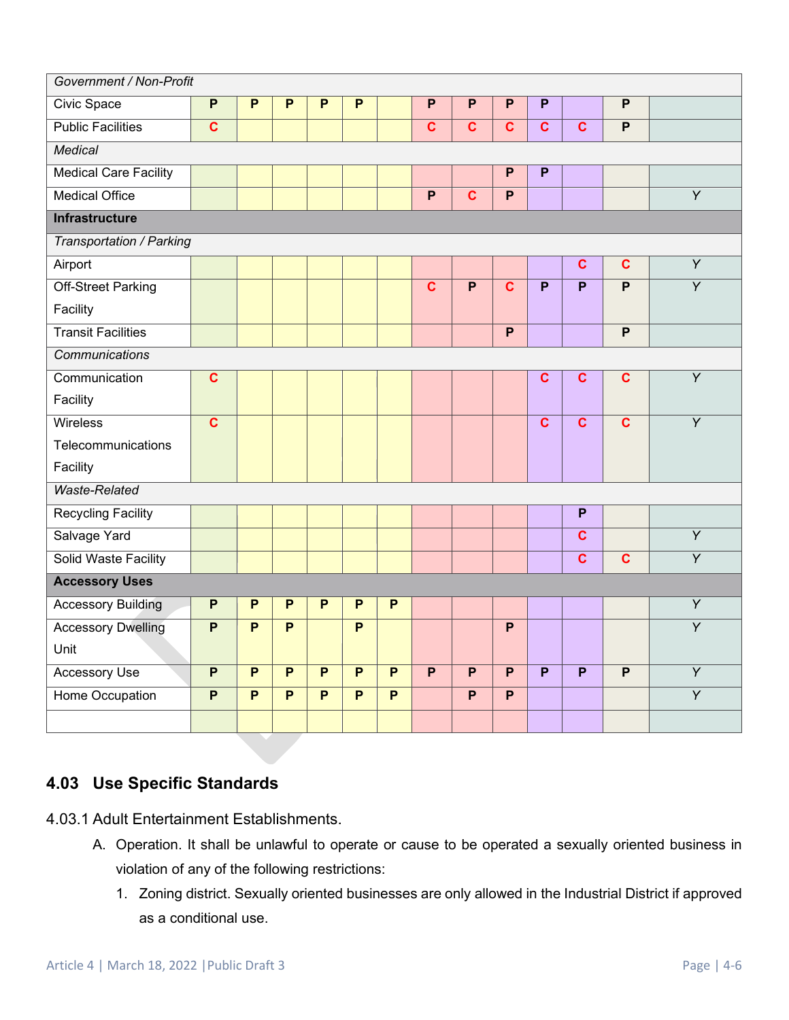| Government / Non-Profit      |                         |                           |                |                |                |                |                         |                         |                         |                         |                         |                |                |
|------------------------------|-------------------------|---------------------------|----------------|----------------|----------------|----------------|-------------------------|-------------------------|-------------------------|-------------------------|-------------------------|----------------|----------------|
| Civic Space                  | $\overline{P}$          | P                         | P              | P              | P              |                | P                       | P                       | P                       | P                       |                         | P              |                |
| <b>Public Facilities</b>     | $\overline{\mathbf{c}}$ |                           |                |                |                |                | $\mathbf c$             | $\mathbf{C}$            | $\mathbf{C}$            | $\overline{\mathbf{c}}$ | $\overline{\mathbf{c}}$ | $\overline{P}$ |                |
| <b>Medical</b>               |                         |                           |                |                |                |                |                         |                         |                         |                         |                         |                |                |
| <b>Medical Care Facility</b> |                         |                           |                |                |                |                |                         |                         | $\overline{P}$          | P                       |                         |                |                |
| <b>Medical Office</b>        |                         |                           |                |                |                |                | $\overline{P}$          | $\overline{\mathbf{c}}$ | $\overline{P}$          |                         |                         |                | $\overline{Y}$ |
| <b>Infrastructure</b>        |                         |                           |                |                |                |                |                         |                         |                         |                         |                         |                |                |
| Transportation / Parking     |                         |                           |                |                |                |                |                         |                         |                         |                         |                         |                |                |
| Airport                      |                         |                           |                |                |                |                |                         |                         |                         |                         | $\mathbf c$             | $\overline{c}$ | $\overline{Y}$ |
| <b>Off-Street Parking</b>    |                         |                           |                |                |                |                | $\overline{\mathbf{c}}$ | $\overline{P}$          | $\overline{\mathbf{c}}$ | P                       | $\overline{P}$          | $\overline{P}$ | $\overline{Y}$ |
| Facility                     |                         |                           |                |                |                |                |                         |                         |                         |                         |                         |                |                |
| <b>Transit Facilities</b>    |                         |                           |                |                |                |                |                         |                         | $\overline{P}$          |                         |                         | $\overline{P}$ |                |
| Communications               |                         |                           |                |                |                |                |                         |                         |                         |                         |                         |                |                |
| Communication                | $\mathbf c$             |                           |                |                |                |                |                         |                         |                         | $\mathbf c$             | $\mathbf c$             | $\overline{c}$ | $\overline{Y}$ |
| Facility                     |                         |                           |                |                |                |                |                         |                         |                         |                         |                         |                |                |
| <b>Wireless</b>              | $\overline{\mathbf{c}}$ |                           |                |                |                |                |                         |                         |                         | $\mathbf c$             | $\overline{c}$          | $\overline{c}$ | $\overline{Y}$ |
| Telecommunications           |                         |                           |                |                |                |                |                         |                         |                         |                         |                         |                |                |
| Facility                     |                         |                           |                |                |                |                |                         |                         |                         |                         |                         |                |                |
| <b>Waste-Related</b>         |                         |                           |                |                |                |                |                         |                         |                         |                         |                         |                |                |
| <b>Recycling Facility</b>    |                         |                           |                |                |                |                |                         |                         |                         |                         | P                       |                |                |
| Salvage Yard                 |                         |                           |                |                |                |                |                         |                         |                         |                         | $\overline{\mathbf{c}}$ |                | $\overline{Y}$ |
| Solid Waste Facility         |                         |                           |                |                |                |                |                         |                         |                         |                         | $\overline{\mathbf{c}}$ | $\mathbf c$    | $\overline{Y}$ |
| <b>Accessory Uses</b>        |                         |                           |                |                |                |                |                         |                         |                         |                         |                         |                |                |
| <b>Accessory Building</b>    | P                       | $\boldsymbol{\mathsf{P}}$ | P              | P              | P              | $\mathsf{P}$   |                         |                         |                         |                         |                         |                | $\overline{Y}$ |
| <b>Accessory Dwelling</b>    | $\overline{P}$          | $\overline{P}$            | $\overline{P}$ |                | $\overline{P}$ |                |                         |                         | $\overline{P}$          |                         |                         |                | $\overline{Y}$ |
| Unit                         |                         |                           |                |                |                |                |                         |                         |                         |                         |                         |                |                |
| <b>Accessory Use</b>         | $\overline{P}$          | $\overline{P}$            | $\overline{P}$ | $\overline{P}$ | $\overline{P}$ | $\overline{P}$ | $\overline{P}$          | $\overline{P}$          | $\overline{P}$          | $\overline{P}$          | $\overline{P}$          | $\overline{P}$ | $\overline{Y}$ |
| <b>Home Occupation</b>       | $\overline{P}$          | $\overline{P}$            | $\overline{P}$ | $\overline{P}$ | $\overline{P}$ | $\overline{P}$ |                         | $\overline{P}$          | $\overline{P}$          |                         |                         |                | $\overline{Y}$ |
|                              |                         |                           |                |                |                |                |                         |                         |                         |                         |                         |                |                |

# **4.03 Use Specific Standards**

4.03.1 Adult Entertainment Establishments.

- A. Operation. It shall be unlawful to operate or cause to be operated a sexually oriented business in violation of any of the following restrictions:
	- 1. Zoning district. Sexually oriented businesses are only allowed in the Industrial District if approved as a conditional use.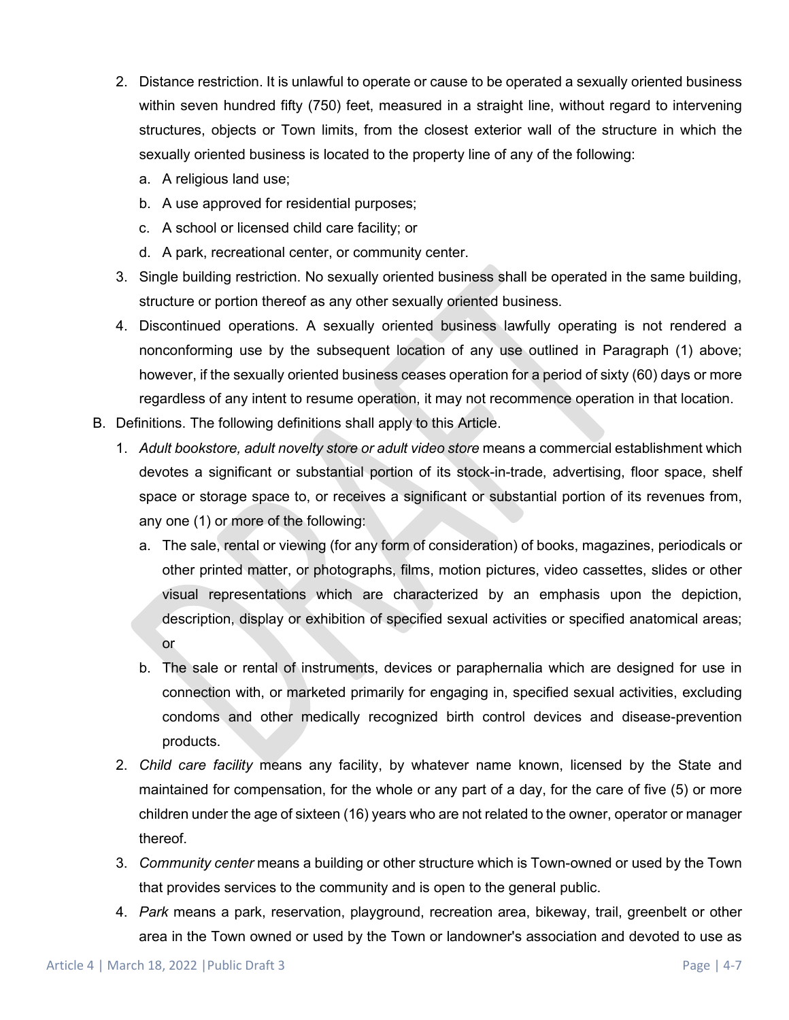- 2. Distance restriction. It is unlawful to operate or cause to be operated a sexually oriented business within seven hundred fifty (750) feet, measured in a straight line, without regard to intervening structures, objects or Town limits, from the closest exterior wall of the structure in which the sexually oriented business is located to the property line of any of the following:
	- a. A religious land use;
	- b. A use approved for residential purposes;
	- c. A school or licensed child care facility; or
	- d. A park, recreational center, or community center.
- 3. Single building restriction. No sexually oriented business shall be operated in the same building, structure or portion thereof as any other sexually oriented business.
- 4. Discontinued operations. A sexually oriented business lawfully operating is not rendered a nonconforming use by the subsequent location of any use outlined in Paragraph (1) above; however, if the sexually oriented business ceases operation for a period of sixty (60) days or more regardless of any intent to resume operation, it may not recommence operation in that location.
- B. Definitions. The following definitions shall apply to this Article.
	- 1. *Adult bookstore, adult novelty store or adult video store* means a commercial establishment which devotes a significant or substantial portion of its stock-in-trade, advertising, floor space, shelf space or storage space to, or receives a significant or substantial portion of its revenues from, any one (1) or more of the following:
		- a. The sale, rental or viewing (for any form of consideration) of books, magazines, periodicals or other printed matter, or photographs, films, motion pictures, video cassettes, slides or other visual representations which are characterized by an emphasis upon the depiction, description, display or exhibition of specified sexual activities or specified anatomical areas; or
		- b. The sale or rental of instruments, devices or paraphernalia which are designed for use in connection with, or marketed primarily for engaging in, specified sexual activities, excluding condoms and other medically recognized birth control devices and disease-prevention products.
	- 2. *Child care facility* means any facility, by whatever name known, licensed by the State and maintained for compensation, for the whole or any part of a day, for the care of five (5) or more children under the age of sixteen (16) years who are not related to the owner, operator or manager thereof.
	- 3. *Community center* means a building or other structure which is Town-owned or used by the Town that provides services to the community and is open to the general public.
	- 4. *Park* means a park, reservation, playground, recreation area, bikeway, trail, greenbelt or other area in the Town owned or used by the Town or landowner's association and devoted to use as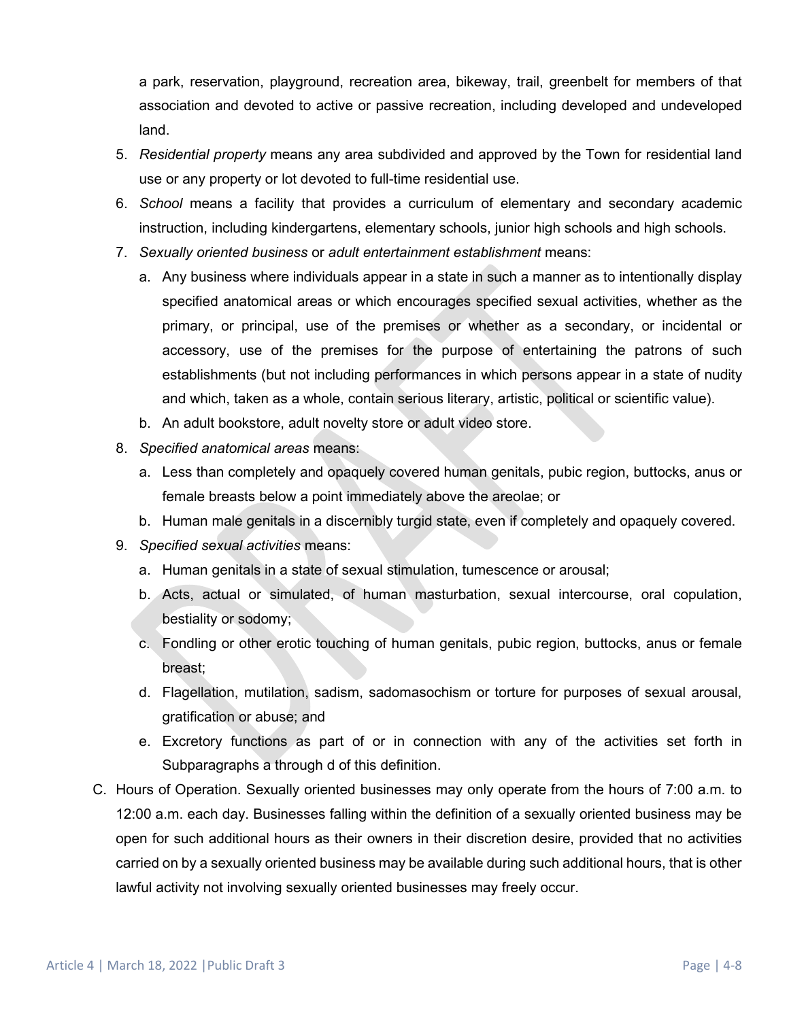a park, reservation, playground, recreation area, bikeway, trail, greenbelt for members of that association and devoted to active or passive recreation, including developed and undeveloped land.

- 5. *Residential property* means any area subdivided and approved by the Town for residential land use or any property or lot devoted to full-time residential use.
- 6. *School* means a facility that provides a curriculum of elementary and secondary academic instruction, including kindergartens, elementary schools, junior high schools and high schools.
- 7. *Sexually oriented business* or *adult entertainment establishment* means:
	- a. Any business where individuals appear in a state in such a manner as to intentionally display specified anatomical areas or which encourages specified sexual activities, whether as the primary, or principal, use of the premises or whether as a secondary, or incidental or accessory, use of the premises for the purpose of entertaining the patrons of such establishments (but not including performances in which persons appear in a state of nudity and which, taken as a whole, contain serious literary, artistic, political or scientific value).
	- b. An adult bookstore, adult novelty store or adult video store.
- 8. *Specified anatomical areas* means:
	- a. Less than completely and opaquely covered human genitals, pubic region, buttocks, anus or female breasts below a point immediately above the areolae; or
	- b. Human male genitals in a discernibly turgid state, even if completely and opaquely covered.
- 9. *Specified sexual activities* means:
	- a. Human genitals in a state of sexual stimulation, tumescence or arousal;
	- b. Acts, actual or simulated, of human masturbation, sexual intercourse, oral copulation, bestiality or sodomy;
	- c. Fondling or other erotic touching of human genitals, pubic region, buttocks, anus or female breast;
	- d. Flagellation, mutilation, sadism, sadomasochism or torture for purposes of sexual arousal, gratification or abuse; and
	- e. Excretory functions as part of or in connection with any of the activities set forth in Subparagraphs a through d of this definition.
- C. Hours of Operation. Sexually oriented businesses may only operate from the hours of 7:00 a.m. to 12:00 a.m. each day. Businesses falling within the definition of a sexually oriented business may be open for such additional hours as their owners in their discretion desire, provided that no activities carried on by a sexually oriented business may be available during such additional hours, that is other lawful activity not involving sexually oriented businesses may freely occur.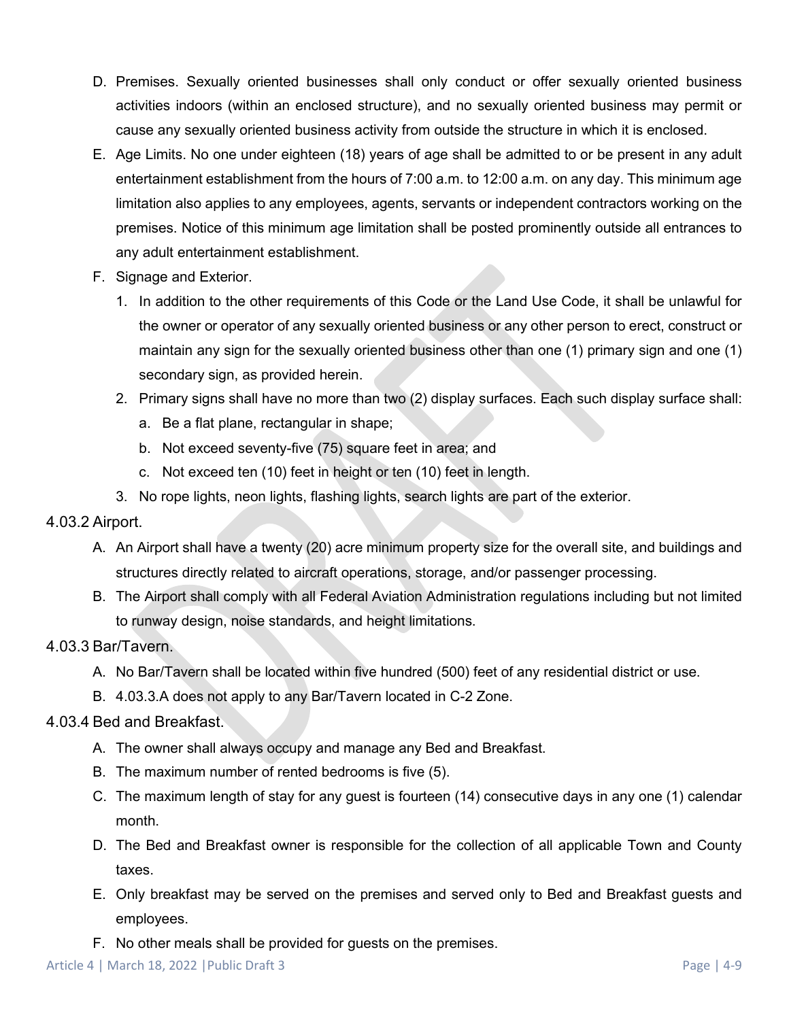- D. Premises. Sexually oriented businesses shall only conduct or offer sexually oriented business activities indoors (within an enclosed structure), and no sexually oriented business may permit or cause any sexually oriented business activity from outside the structure in which it is enclosed.
- E. Age Limits. No one under eighteen (18) years of age shall be admitted to or be present in any adult entertainment establishment from the hours of 7:00 a.m. to 12:00 a.m. on any day. This minimum age limitation also applies to any employees, agents, servants or independent contractors working on the premises. Notice of this minimum age limitation shall be posted prominently outside all entrances to any adult entertainment establishment.
- F. Signage and Exterior.
	- 1. In addition to the other requirements of this Code or the Land Use Code, it shall be unlawful for the owner or operator of any sexually oriented business or any other person to erect, construct or maintain any sign for the sexually oriented business other than one (1) primary sign and one (1) secondary sign, as provided herein.
	- 2. Primary signs shall have no more than two (2) display surfaces. Each such display surface shall:
		- a. Be a flat plane, rectangular in shape;
		- b. Not exceed seventy-five (75) square feet in area; and
		- c. Not exceed ten (10) feet in height or ten (10) feet in length.
	- 3. No rope lights, neon lights, flashing lights, search lights are part of the exterior.

#### 4.03.2 Airport.

- A. An Airport shall have a twenty (20) acre minimum property size for the overall site, and buildings and structures directly related to aircraft operations, storage, and/or passenger processing.
- B. The Airport shall comply with all Federal Aviation Administration regulations including but not limited to runway design, noise standards, and height limitations.

#### 4.03.3 Bar/Tavern.

- A. No Bar/Tavern shall be located within five hundred (500) feet of any residential district or use.
- B. 4.03.3.A does not apply to any Bar/Tavern located in C-2 Zone.

#### 4.03.4 Bed and Breakfast.

- A. The owner shall always occupy and manage any Bed and Breakfast.
- B. The maximum number of rented bedrooms is five (5).
- C. The maximum length of stay for any guest is fourteen (14) consecutive days in any one (1) calendar month.
- D. The Bed and Breakfast owner is responsible for the collection of all applicable Town and County taxes.
- E. Only breakfast may be served on the premises and served only to Bed and Breakfast guests and employees.
- F. No other meals shall be provided for guests on the premises.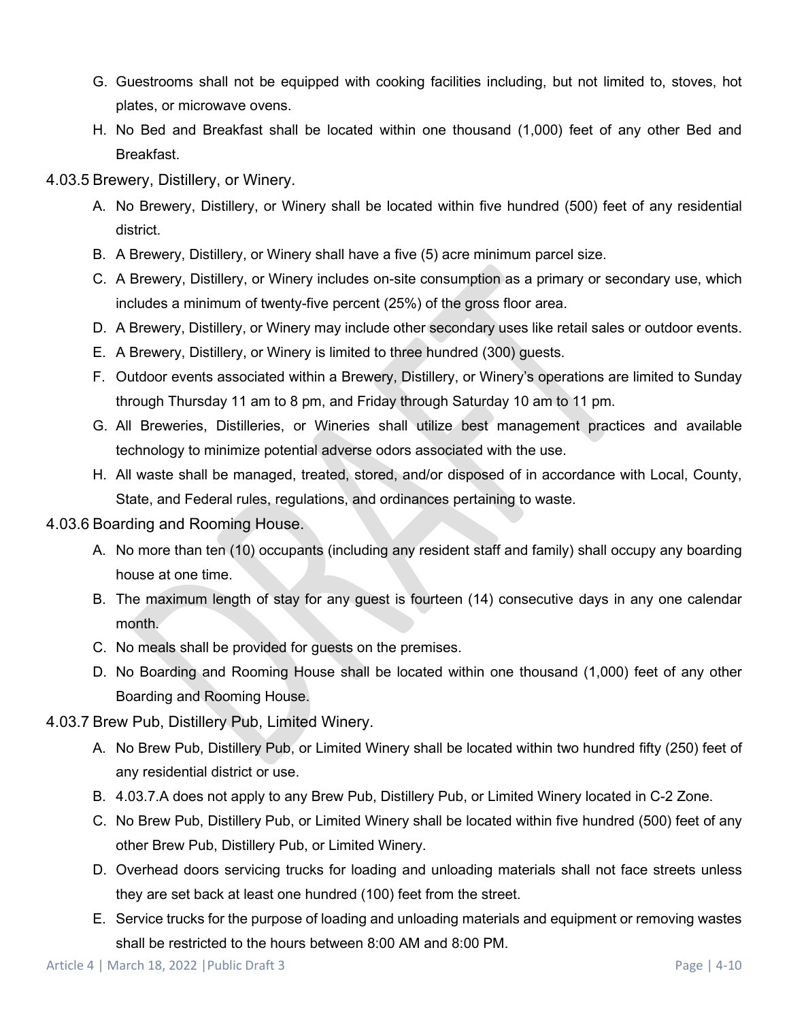- G. Guestrooms shall not be equipped with cooking facilities including, but not limited to, stoves, hot plates, or microwave ovens.
- H. No Bed and Breakfast shall be located within one thousand (1,000) feet of any other Bed and Breakfast.
- 4.03.5 Brewery, Distillery, or Winery.
	- A. No Brewery, Distillery, or Winery shall be located within five hundred (500) feet of any residential district.
	- B. A Brewery, Distillery, or Winery shall have a five (5) acre minimum parcel size.
	- C. A Brewery, Distillery, or Winery includes on-site consumption as a primary or secondary use, which includes a minimum of twenty-five percent (25%) of the gross floor area.
	- D. A Brewery, Distillery, or Winery may include other secondary uses like retail sales or outdoor events.
	- E. A Brewery, Distillery, or Winery is limited to three hundred (300) guests.
	- F. Outdoor events associated within a Brewery, Distillery, or Winery's operations are limited to Sunday through Thursday 11 am to 8 pm, and Friday through Saturday 10 am to 11 pm.
	- G. All Breweries, Distilleries, or Wineries shall utilize best management practices and available technology to minimize potential adverse odors associated with the use.
	- H. All waste shall be managed, treated, stored, and/or disposed of in accordance with Local, County, State, and Federal rules, regulations, and ordinances pertaining to waste.
- 4.03.6 Boarding and Rooming House.
	- A. No more than ten (10) occupants (including any resident staff and family) shall occupy any boarding house at one time.
	- B. The maximum length of stay for any guest is fourteen (14) consecutive days in any one calendar month.
	- C. No meals shall be provided for guests on the premises.
	- D. No Boarding and Rooming House shall be located within one thousand (1,000) feet of any other Boarding and Rooming House.
- 4.03.7 Brew Pub, Distillery Pub, Limited Winery.
	- A. No Brew Pub, Distillery Pub, or Limited Winery shall be located within two hundred fifty (250) feet of any residential district or use.
	- B. 4.03.7.A does not apply to any Brew Pub, Distillery Pub, or Limited Winery located in C-2 Zone.
	- C. No Brew Pub, Distillery Pub, or Limited Winery shall be located within five hundred (500) feet of any other Brew Pub, Distillery Pub, or Limited Winery.
	- D. Overhead doors servicing trucks for loading and unloading materials shall not face streets unless they are set back at least one hundred (100) feet from the street.
	- E. Service trucks for the purpose of loading and unloading materials and equipment or removing wastes shall be restricted to the hours between 8:00 AM and 8:00 PM.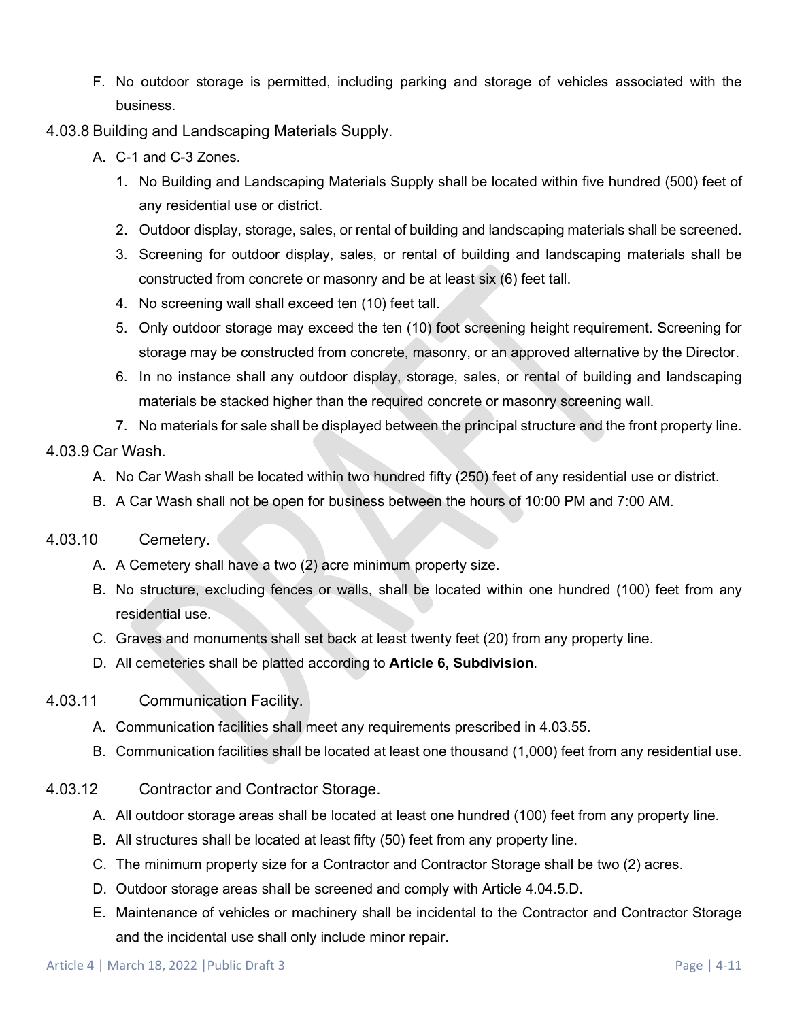- F. No outdoor storage is permitted, including parking and storage of vehicles associated with the business.
- 4.03.8 Building and Landscaping Materials Supply.
	- A. C-1 and C-3 Zones.
		- 1. No Building and Landscaping Materials Supply shall be located within five hundred (500) feet of any residential use or district.
		- 2. Outdoor display, storage, sales, or rental of building and landscaping materials shall be screened.
		- 3. Screening for outdoor display, sales, or rental of building and landscaping materials shall be constructed from concrete or masonry and be at least six (6) feet tall.
		- 4. No screening wall shall exceed ten (10) feet tall.
		- 5. Only outdoor storage may exceed the ten (10) foot screening height requirement. Screening for storage may be constructed from concrete, masonry, or an approved alternative by the Director.
		- 6. In no instance shall any outdoor display, storage, sales, or rental of building and landscaping materials be stacked higher than the required concrete or masonry screening wall.
		- 7. No materials for sale shall be displayed between the principal structure and the front property line.

### 4.03.9 Car Wash.

- A. No Car Wash shall be located within two hundred fifty (250) feet of any residential use or district.
- B. A Car Wash shall not be open for business between the hours of 10:00 PM and 7:00 AM.

### <span id="page-10-0"></span>4.03.10 Cemetery.

- A. A Cemetery shall have a two (2) acre minimum property size.
- B. No structure, excluding fences or walls, shall be located within one hundred (100) feet from any residential use.
- C. Graves and monuments shall set back at least twenty feet (20) from any property line.
- D. All cemeteries shall be platted according to **Article 6, Subdivision**.
- 4.03.11 Communication Facility.
	- A. Communication facilities shall meet any requirements prescribed in 4.03.55.
	- B. Communication facilities shall be located at least one thousand (1,000) feet from any residential use.
- 4.03.12 Contractor and Contractor Storage.
	- A. All outdoor storage areas shall be located at least one hundred (100) feet from any property line.
	- B. All structures shall be located at least fifty (50) feet from any property line.
	- C. The minimum property size for a Contractor and Contractor Storage shall be two (2) acres.
	- D. Outdoor storage areas shall be screened and comply with Article 4.04.5[.D.](#page-32-0)
	- E. Maintenance of vehicles or machinery shall be incidental to the Contractor and Contractor Storage and the incidental use shall only include minor repair.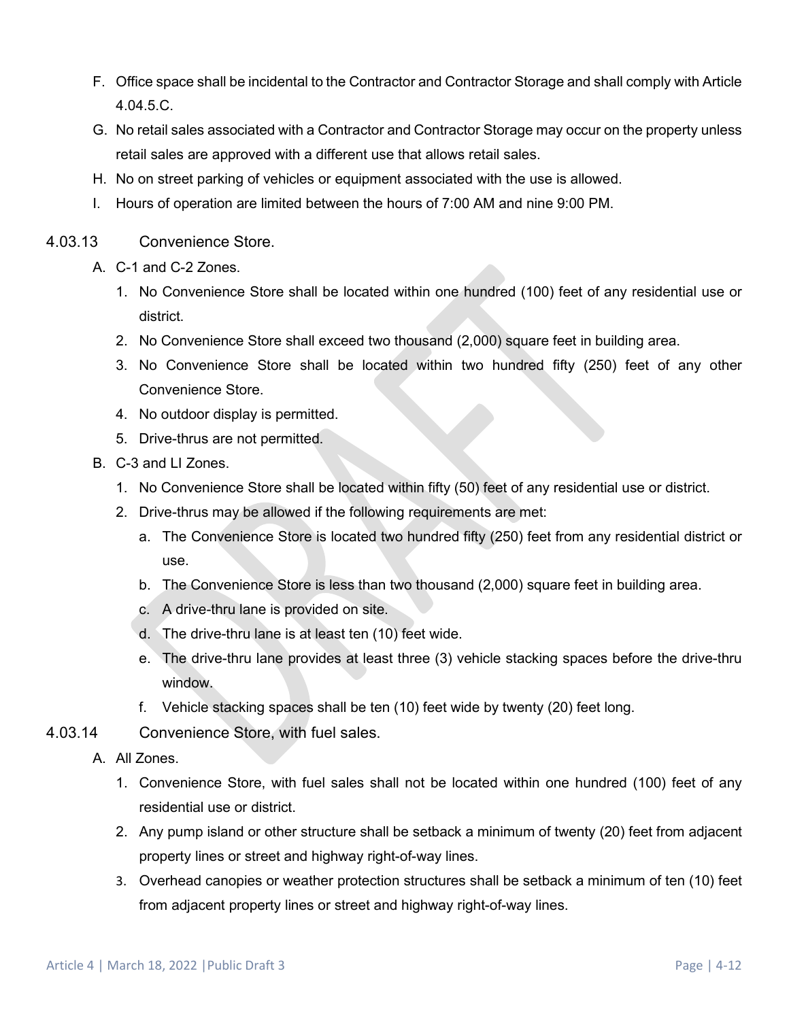- F. Office space shall be incidental to the Contractor and Contractor Storage and shall comply with Article 4.04.5[.C.](#page-32-1)
- G. No retail sales associated with a Contractor and Contractor Storage may occur on the property unless retail sales are approved with a different use that allows retail sales.
- H. No on street parking of vehicles or equipment associated with the use is allowed.
- I. Hours of operation are limited between the hours of 7:00 AM and nine 9:00 PM.
- 4.03.13 Convenience Store.
	- A. C-1 and C-2 Zones.
		- 1. No Convenience Store shall be located within one hundred (100) feet of any residential use or district.
		- 2. No Convenience Store shall exceed two thousand (2,000) square feet in building area.
		- 3. No Convenience Store shall be located within two hundred fifty (250) feet of any other Convenience Store.
		- 4. No outdoor display is permitted.
		- 5. Drive-thrus are not permitted.
	- B. C-3 and LI Zones.
		- 1. No Convenience Store shall be located within fifty (50) feet of any residential use or district.
		- 2. Drive-thrus may be allowed if the following requirements are met:
			- a. The Convenience Store is located two hundred fifty (250) feet from any residential district or use.
			- b. The Convenience Store is less than two thousand (2,000) square feet in building area.
			- c. A drive-thru lane is provided on site.
			- d. The drive-thru lane is at least ten (10) feet wide.
			- e. The drive-thru lane provides at least three (3) vehicle stacking spaces before the drive-thru window.
			- f. Vehicle stacking spaces shall be ten (10) feet wide by twenty (20) feet long.
- 4.03.14 Convenience Store, with fuel sales.
	- A. All Zones.
		- 1. Convenience Store, with fuel sales shall not be located within one hundred (100) feet of any residential use or district.
		- 2. Any pump island or other structure shall be setback a minimum of twenty (20) feet from adjacent property lines or street and highway right-of-way lines.
		- 3. Overhead canopies or weather protection structures shall be setback a minimum of ten (10) feet from adjacent property lines or street and highway right-of-way lines.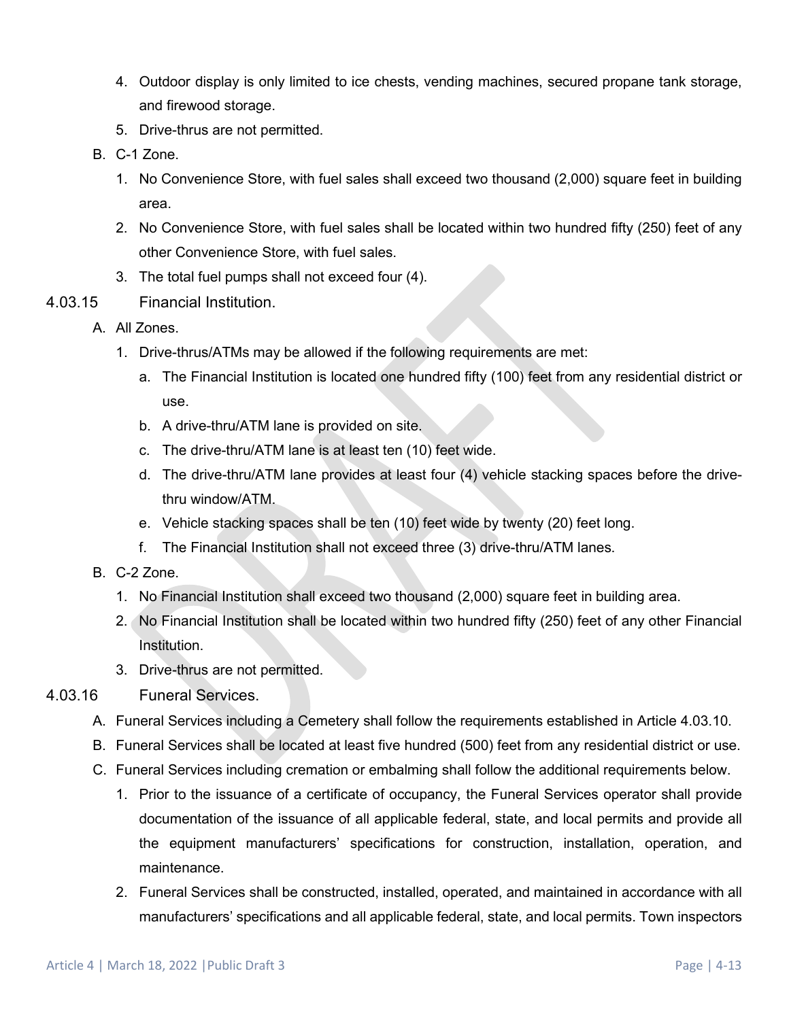- 4. Outdoor display is only limited to ice chests, vending machines, secured propane tank storage, and firewood storage.
- 5. Drive-thrus are not permitted.
- B. C-1 Zone.
	- 1. No Convenience Store, with fuel sales shall exceed two thousand (2,000) square feet in building area.
	- 2. No Convenience Store, with fuel sales shall be located within two hundred fifty (250) feet of any other Convenience Store, with fuel sales.
	- 3. The total fuel pumps shall not exceed four (4).
- 4.03.15 Financial Institution.
	- A. All Zones.
		- 1. Drive-thrus/ATMs may be allowed if the following requirements are met:
			- a. The Financial Institution is located one hundred fifty (100) feet from any residential district or use.
			- b. A drive-thru/ATM lane is provided on site.
			- c. The drive-thru/ATM lane is at least ten (10) feet wide.
			- d. The drive-thru/ATM lane provides at least four (4) vehicle stacking spaces before the drivethru window/ATM.
			- e. Vehicle stacking spaces shall be ten (10) feet wide by twenty (20) feet long.
			- f. The Financial Institution shall not exceed three (3) drive-thru/ATM lanes.
	- B. C-2 Zone.
		- 1. No Financial Institution shall exceed two thousand (2,000) square feet in building area.
		- 2. No Financial Institution shall be located within two hundred fifty (250) feet of any other Financial Institution.
		- 3. Drive-thrus are not permitted.
- 4.03.16 Funeral Services.
	- A. Funeral Services including a Cemetery shall follow the requirements established in Article [4.03.10.](#page-10-0)
	- B. Funeral Services shall be located at least five hundred (500) feet from any residential district or use.
	- C. Funeral Services including cremation or embalming shall follow the additional requirements below.
		- 1. Prior to the issuance of a certificate of occupancy, the Funeral Services operator shall provide documentation of the issuance of all applicable federal, state, and local permits and provide all the equipment manufacturers' specifications for construction, installation, operation, and maintenance.
		- 2. Funeral Services shall be constructed, installed, operated, and maintained in accordance with all manufacturers' specifications and all applicable federal, state, and local permits. Town inspectors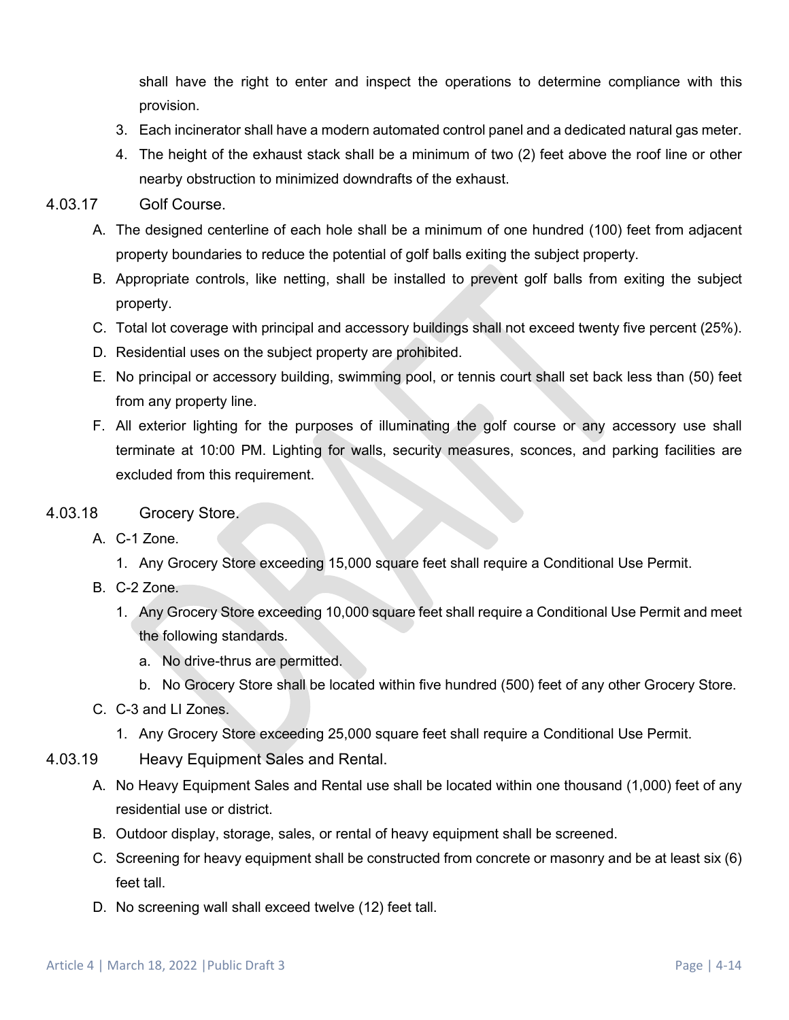shall have the right to enter and inspect the operations to determine compliance with this provision.

- 3. Each incinerator shall have a modern automated control panel and a dedicated natural gas meter.
- 4. The height of the exhaust stack shall be a minimum of two (2) feet above the roof line or other nearby obstruction to minimized downdrafts of the exhaust.

#### 4.03.17 Golf Course.

- A. The designed centerline of each hole shall be a minimum of one hundred (100) feet from adjacent property boundaries to reduce the potential of golf balls exiting the subject property.
- B. Appropriate controls, like netting, shall be installed to prevent golf balls from exiting the subject property.
- C. Total lot coverage with principal and accessory buildings shall not exceed twenty five percent (25%).
- D. Residential uses on the subject property are prohibited.
- E. No principal or accessory building, swimming pool, or tennis court shall set back less than (50) feet from any property line.
- F. All exterior lighting for the purposes of illuminating the golf course or any accessory use shall terminate at 10:00 PM. Lighting for walls, security measures, sconces, and parking facilities are excluded from this requirement.

### 4.03.18 Grocery Store.

- A. C-1 Zone.
	- 1. Any Grocery Store exceeding 15,000 square feet shall require a Conditional Use Permit.
- B. C-2 Zone.
	- 1. Any Grocery Store exceeding 10,000 square feet shall require a Conditional Use Permit and meet the following standards.
		- a. No drive-thrus are permitted.
		- b. No Grocery Store shall be located within five hundred (500) feet of any other Grocery Store.
- C. C-3 and LI Zones.
	- 1. Any Grocery Store exceeding 25,000 square feet shall require a Conditional Use Permit.
- 4.03.19 Heavy Equipment Sales and Rental.
	- A. No Heavy Equipment Sales and Rental use shall be located within one thousand (1,000) feet of any residential use or district.
	- B. Outdoor display, storage, sales, or rental of heavy equipment shall be screened.
	- C. Screening for heavy equipment shall be constructed from concrete or masonry and be at least six (6) feet tall.
	- D. No screening wall shall exceed twelve (12) feet tall.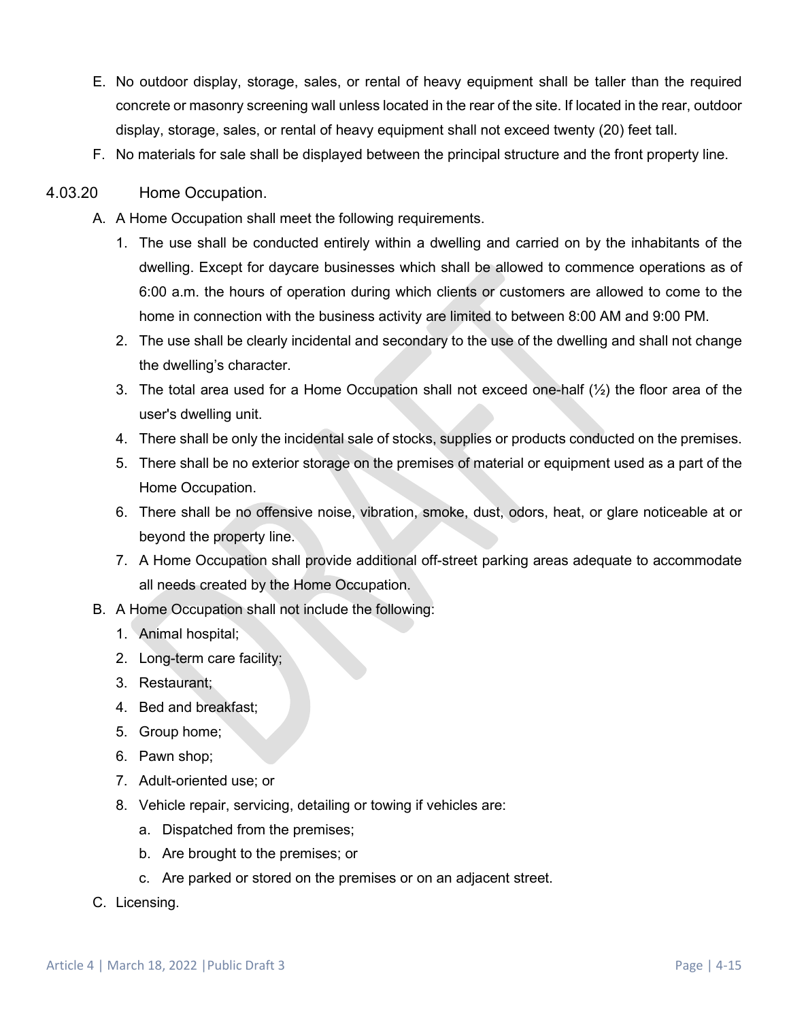- E. No outdoor display, storage, sales, or rental of heavy equipment shall be taller than the required concrete or masonry screening wall unless located in the rear of the site. If located in the rear, outdoor display, storage, sales, or rental of heavy equipment shall not exceed twenty (20) feet tall.
- F. No materials for sale shall be displayed between the principal structure and the front property line.

### 4.03.20 Home Occupation.

- A. A Home Occupation shall meet the following requirements.
	- 1. The use shall be conducted entirely within a dwelling and carried on by the inhabitants of the dwelling. Except for daycare businesses which shall be allowed to commence operations as of 6:00 a.m. the hours of operation during which clients or customers are allowed to come to the home in connection with the business activity are limited to between 8:00 AM and 9:00 PM.
	- 2. The use shall be clearly incidental and secondary to the use of the dwelling and shall not change the dwelling's character.
	- 3. The total area used for a Home Occupation shall not exceed one-half  $(\frac{1}{2})$  the floor area of the user's dwelling unit.
	- 4. There shall be only the incidental sale of stocks, supplies or products conducted on the premises.
	- 5. There shall be no exterior storage on the premises of material or equipment used as a part of the Home Occupation.
	- 6. There shall be no offensive noise, vibration, smoke, dust, odors, heat, or glare noticeable at or beyond the property line.
	- 7. A Home Occupation shall provide additional off-street parking areas adequate to accommodate all needs created by the Home Occupation.
- B. A Home Occupation shall not include the following:
	- 1. Animal hospital;
	- 2. Long-term care facility;
	- 3. Restaurant;
	- 4. Bed and breakfast;
	- 5. Group home;
	- 6. Pawn shop;
	- 7. Adult-oriented use; or
	- 8. Vehicle repair, servicing, detailing or towing if vehicles are:
		- a. Dispatched from the premises;
		- b. Are brought to the premises; or
		- c. Are parked or stored on the premises or on an adjacent street.
- C. Licensing.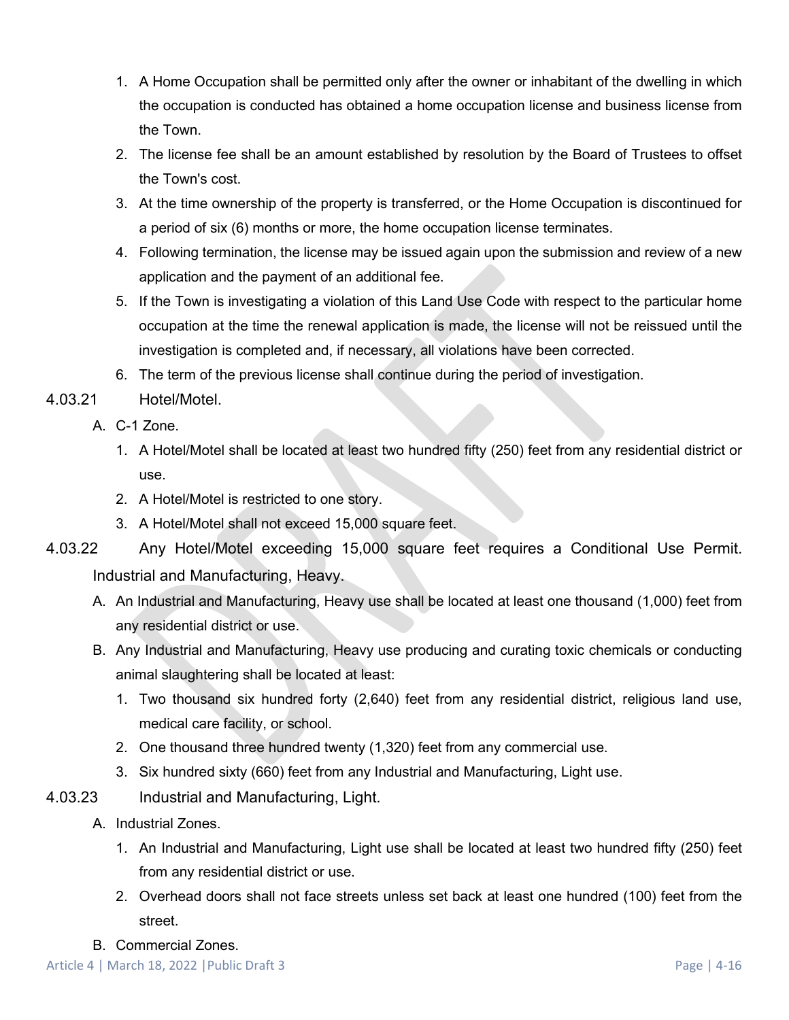- 1. A Home Occupation shall be permitted only after the owner or inhabitant of the dwelling in which the occupation is conducted has obtained a home occupation license and business license from the Town.
- 2. The license fee shall be an amount established by resolution by the Board of Trustees to offset the Town's cost.
- 3. At the time ownership of the property is transferred, or the Home Occupation is discontinued for a period of six (6) months or more, the home occupation license terminates.
- 4. Following termination, the license may be issued again upon the submission and review of a new application and the payment of an additional fee.
- 5. If the Town is investigating a violation of this Land Use Code with respect to the particular home occupation at the time the renewal application is made, the license will not be reissued until the investigation is completed and, if necessary, all violations have been corrected.
- 6. The term of the previous license shall continue during the period of investigation.

# 4.03.21 Hotel/Motel.

- A. C-1 Zone.
	- 1. A Hotel/Motel shall be located at least two hundred fifty (250) feet from any residential district or use.
	- 2. A Hotel/Motel is restricted to one story.
	- 3. A Hotel/Motel shall not exceed 15,000 square feet.
- 4.03.22 Any Hotel/Motel exceeding 15,000 square feet requires a Conditional Use Permit. Industrial and Manufacturing, Heavy.
	- A. An Industrial and Manufacturing, Heavy use shall be located at least one thousand (1,000) feet from any residential district or use.
	- B. Any Industrial and Manufacturing, Heavy use producing and curating toxic chemicals or conducting animal slaughtering shall be located at least:
		- 1. Two thousand six hundred forty (2,640) feet from any residential district, religious land use, medical care facility, or school.
		- 2. One thousand three hundred twenty (1,320) feet from any commercial use.
		- 3. Six hundred sixty (660) feet from any Industrial and Manufacturing, Light use.
- 4.03.23 Industrial and Manufacturing, Light.
	- A. Industrial Zones.
		- 1. An Industrial and Manufacturing, Light use shall be located at least two hundred fifty (250) feet from any residential district or use.
		- 2. Overhead doors shall not face streets unless set back at least one hundred (100) feet from the street.
	- B. Commercial Zones.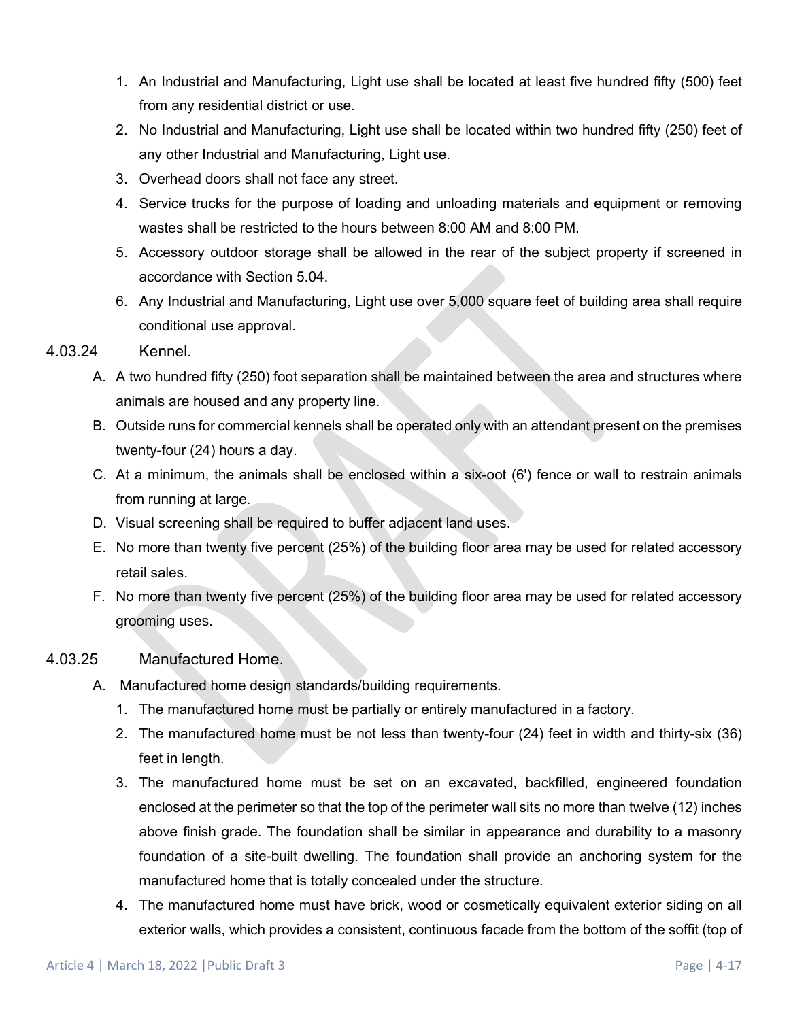- 1. An Industrial and Manufacturing, Light use shall be located at least five hundred fifty (500) feet from any residential district or use.
- 2. No Industrial and Manufacturing, Light use shall be located within two hundred fifty (250) feet of any other Industrial and Manufacturing, Light use.
- 3. Overhead doors shall not face any street.
- 4. Service trucks for the purpose of loading and unloading materials and equipment or removing wastes shall be restricted to the hours between 8:00 AM and 8:00 PM.
- 5. Accessory outdoor storage shall be allowed in the rear of the subject property if screened in accordance with Section 5.04.
- 6. Any Industrial and Manufacturing, Light use over 5,000 square feet of building area shall require conditional use approval.

#### 4.03.24 Kennel.

- A. A two hundred fifty (250) foot separation shall be maintained between the area and structures where animals are housed and any property line.
- B. Outside runs for commercial kennels shall be operated only with an attendant present on the premises twenty-four (24) hours a day.
- C. At a minimum, the animals shall be enclosed within a six-oot (6') fence or wall to restrain animals from running at large.
- D. Visual screening shall be required to buffer adjacent land uses.
- E. No more than twenty five percent (25%) of the building floor area may be used for related accessory retail sales.
- F. No more than twenty five percent (25%) of the building floor area may be used for related accessory grooming uses.

#### 4.03.25 Manufactured Home.

- A. Manufactured home design standards/building requirements.
	- 1. The manufactured home must be partially or entirely manufactured in a factory.
	- 2. The manufactured home must be not less than twenty-four (24) feet in width and thirty-six (36) feet in length.
	- 3. The manufactured home must be set on an excavated, backfilled, engineered foundation enclosed at the perimeter so that the top of the perimeter wall sits no more than twelve (12) inches above finish grade. The foundation shall be similar in appearance and durability to a masonry foundation of a site-built dwelling. The foundation shall provide an anchoring system for the manufactured home that is totally concealed under the structure.
	- 4. The manufactured home must have brick, wood or cosmetically equivalent exterior siding on all exterior walls, which provides a consistent, continuous facade from the bottom of the soffit (top of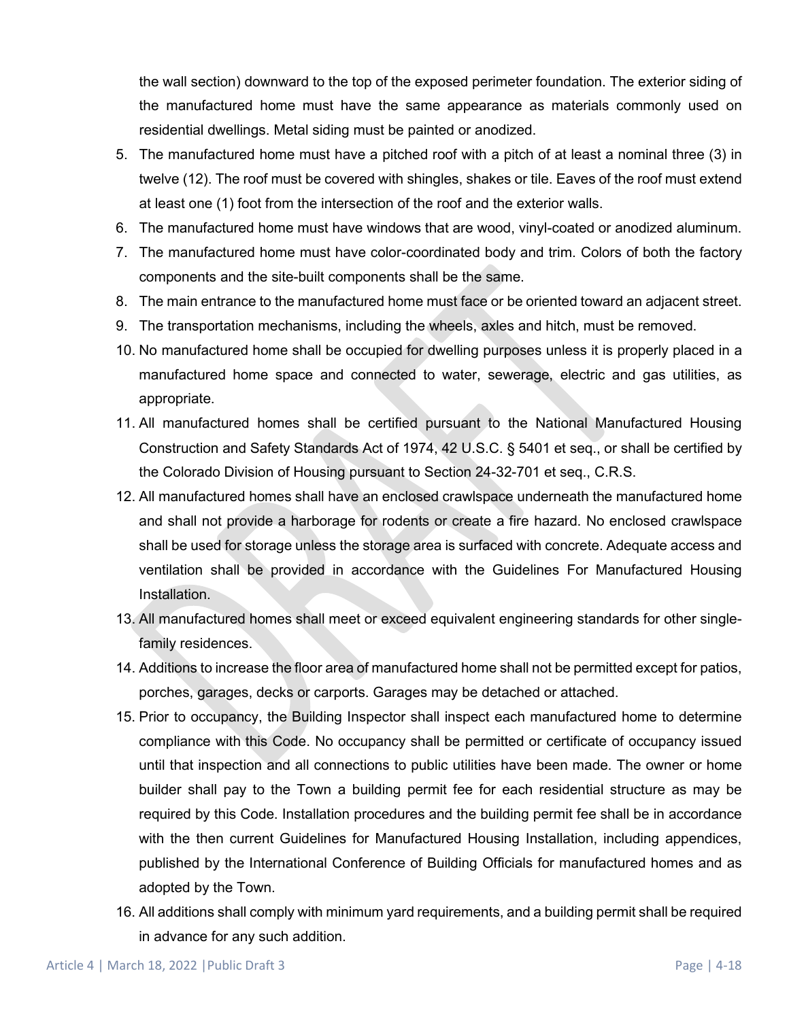the wall section) downward to the top of the exposed perimeter foundation. The exterior siding of the manufactured home must have the same appearance as materials commonly used on residential dwellings. Metal siding must be painted or anodized.

- 5. The manufactured home must have a pitched roof with a pitch of at least a nominal three (3) in twelve (12). The roof must be covered with shingles, shakes or tile. Eaves of the roof must extend at least one (1) foot from the intersection of the roof and the exterior walls.
- 6. The manufactured home must have windows that are wood, vinyl-coated or anodized aluminum.
- 7. The manufactured home must have color-coordinated body and trim. Colors of both the factory components and the site-built components shall be the same.
- 8. The main entrance to the manufactured home must face or be oriented toward an adjacent street.
- 9. The transportation mechanisms, including the wheels, axles and hitch, must be removed.
- 10. No manufactured home shall be occupied for dwelling purposes unless it is properly placed in a manufactured home space and connected to water, sewerage, electric and gas utilities, as appropriate.
- 11. All manufactured homes shall be certified pursuant to the National Manufactured Housing Construction and Safety Standards Act of 1974, 42 U.S.C. § 5401 et seq., or shall be certified by the Colorado Division of Housing pursuant to Section 24-32-701 et seq., C.R.S.
- 12. All manufactured homes shall have an enclosed crawlspace underneath the manufactured home and shall not provide a harborage for rodents or create a fire hazard. No enclosed crawlspace shall be used for storage unless the storage area is surfaced with concrete. Adequate access and ventilation shall be provided in accordance with the Guidelines For Manufactured Housing Installation.
- 13. All manufactured homes shall meet or exceed equivalent engineering standards for other singlefamily residences.
- 14. Additions to increase the floor area of manufactured home shall not be permitted except for patios, porches, garages, decks or carports. Garages may be detached or attached.
- 15. Prior to occupancy, the Building Inspector shall inspect each manufactured home to determine compliance with this Code. No occupancy shall be permitted or certificate of occupancy issued until that inspection and all connections to public utilities have been made. The owner or home builder shall pay to the Town a building permit fee for each residential structure as may be required by this Code. Installation procedures and the building permit fee shall be in accordance with the then current Guidelines for Manufactured Housing Installation, including appendices, published by the International Conference of Building Officials for manufactured homes and as adopted by the Town.
- 16. All additions shall comply with minimum yard requirements, and a building permit shall be required in advance for any such addition.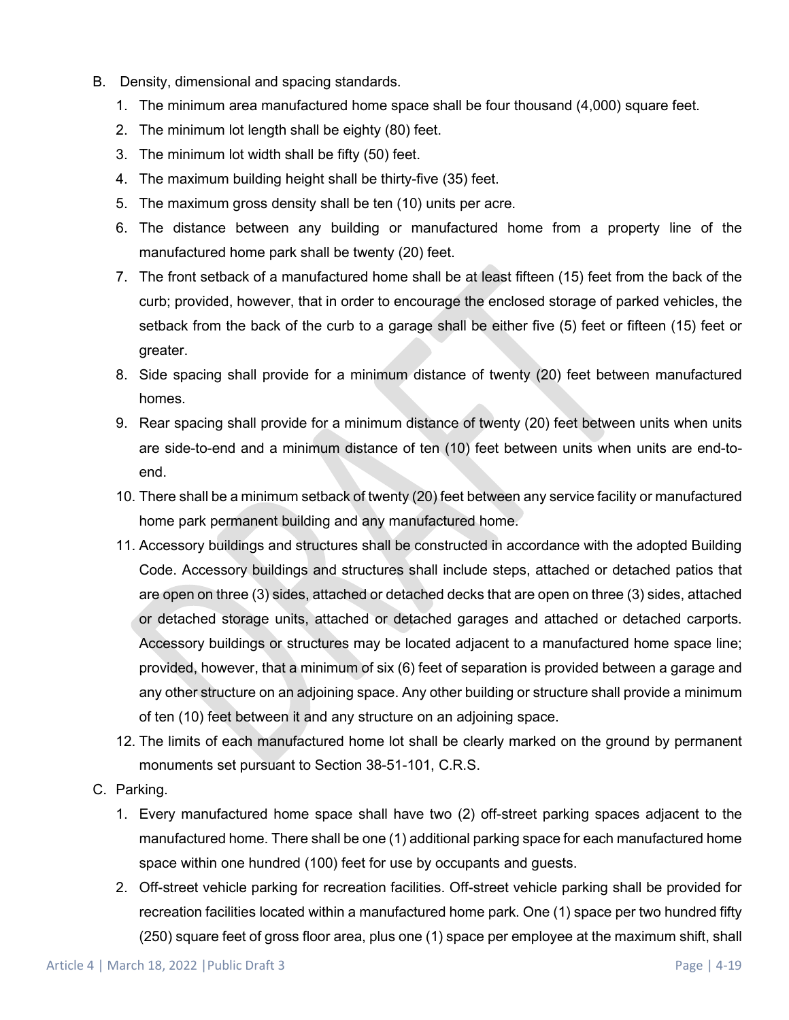- B. Density, dimensional and spacing standards.
	- 1. The minimum area manufactured home space shall be four thousand (4,000) square feet.
	- 2. The minimum lot length shall be eighty (80) feet.
	- 3. The minimum lot width shall be fifty (50) feet.
	- 4. The maximum building height shall be thirty-five (35) feet.
	- 5. The maximum gross density shall be ten (10) units per acre.
	- 6. The distance between any building or manufactured home from a property line of the manufactured home park shall be twenty (20) feet.
	- 7. The front setback of a manufactured home shall be at least fifteen (15) feet from the back of the curb; provided, however, that in order to encourage the enclosed storage of parked vehicles, the setback from the back of the curb to a garage shall be either five (5) feet or fifteen (15) feet or greater.
	- 8. Side spacing shall provide for a minimum distance of twenty (20) feet between manufactured homes.
	- 9. Rear spacing shall provide for a minimum distance of twenty (20) feet between units when units are side-to-end and a minimum distance of ten (10) feet between units when units are end-toend.
	- 10. There shall be a minimum setback of twenty (20) feet between any service facility or manufactured home park permanent building and any manufactured home.
	- 11. Accessory buildings and structures shall be constructed in accordance with the adopted Building Code. Accessory buildings and structures shall include steps, attached or detached patios that are open on three (3) sides, attached or detached decks that are open on three (3) sides, attached or detached storage units, attached or detached garages and attached or detached carports. Accessory buildings or structures may be located adjacent to a manufactured home space line; provided, however, that a minimum of six (6) feet of separation is provided between a garage and any other structure on an adjoining space. Any other building or structure shall provide a minimum of ten (10) feet between it and any structure on an adjoining space.
	- 12. The limits of each manufactured home lot shall be clearly marked on the ground by permanent monuments set pursuant to Section 38-51-101, C.R.S.
- C. Parking.
	- 1. Every manufactured home space shall have two (2) off-street parking spaces adjacent to the manufactured home. There shall be one (1) additional parking space for each manufactured home space within one hundred (100) feet for use by occupants and guests.
	- 2. Off-street vehicle parking for recreation facilities. Off-street vehicle parking shall be provided for recreation facilities located within a manufactured home park. One (1) space per two hundred fifty (250) square feet of gross floor area, plus one (1) space per employee at the maximum shift, shall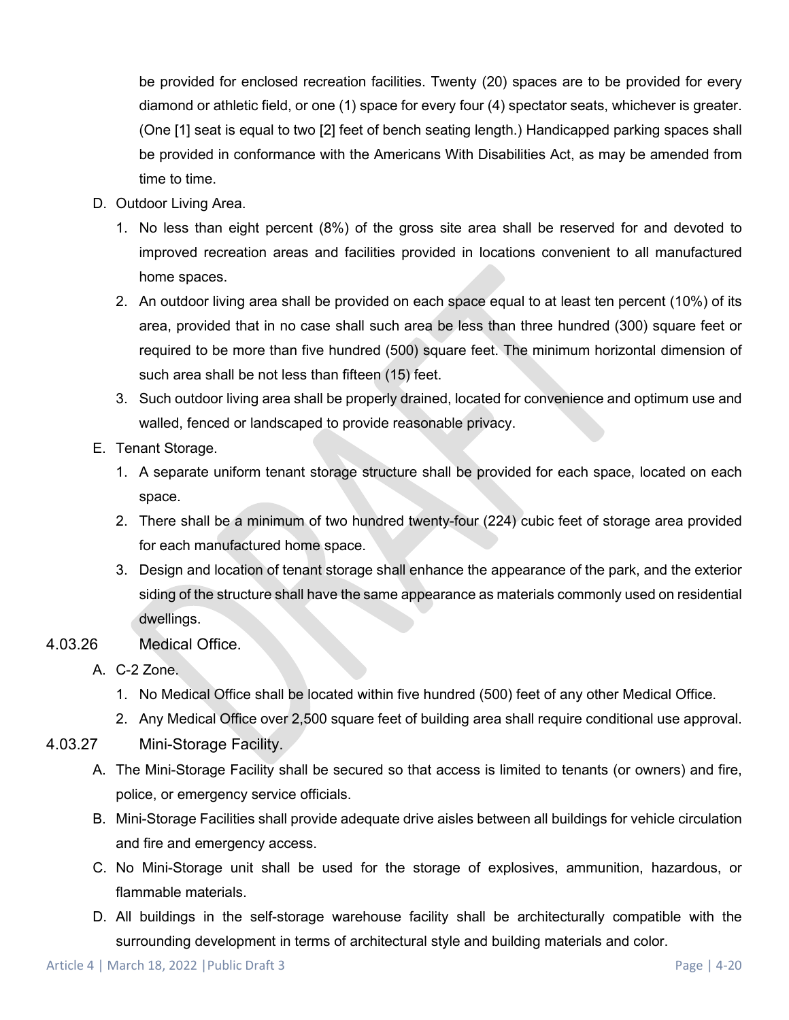be provided for enclosed recreation facilities. Twenty (20) spaces are to be provided for every diamond or athletic field, or one (1) space for every four (4) spectator seats, whichever is greater. (One [1] seat is equal to two [2] feet of bench seating length.) Handicapped parking spaces shall be provided in conformance with the Americans With Disabilities Act, as may be amended from time to time.

- D. Outdoor Living Area.
	- 1. No less than eight percent (8%) of the gross site area shall be reserved for and devoted to improved recreation areas and facilities provided in locations convenient to all manufactured home spaces.
	- 2. An outdoor living area shall be provided on each space equal to at least ten percent (10%) of its area, provided that in no case shall such area be less than three hundred (300) square feet or required to be more than five hundred (500) square feet. The minimum horizontal dimension of such area shall be not less than fifteen (15) feet.
	- 3. Such outdoor living area shall be properly drained, located for convenience and optimum use and walled, fenced or landscaped to provide reasonable privacy.
- E. Tenant Storage.
	- 1. A separate uniform tenant storage structure shall be provided for each space, located on each space.
	- 2. There shall be a minimum of two hundred twenty-four (224) cubic feet of storage area provided for each manufactured home space.
	- 3. Design and location of tenant storage shall enhance the appearance of the park, and the exterior siding of the structure shall have the same appearance as materials commonly used on residential dwellings.
- 4.03.26 Medical Office.
	- A. C-2 Zone.
		- 1. No Medical Office shall be located within five hundred (500) feet of any other Medical Office.
		- 2. Any Medical Office over 2,500 square feet of building area shall require conditional use approval.
- 4.03.27 Mini-Storage Facility.
	- A. The Mini-Storage Facility shall be secured so that access is limited to tenants (or owners) and fire, police, or emergency service officials.
	- B. Mini-Storage Facilities shall provide adequate drive aisles between all buildings for vehicle circulation and fire and emergency access.
	- C. No Mini-Storage unit shall be used for the storage of explosives, ammunition, hazardous, or flammable materials.
	- D. All buildings in the self-storage warehouse facility shall be architecturally compatible with the surrounding development in terms of architectural style and building materials and color.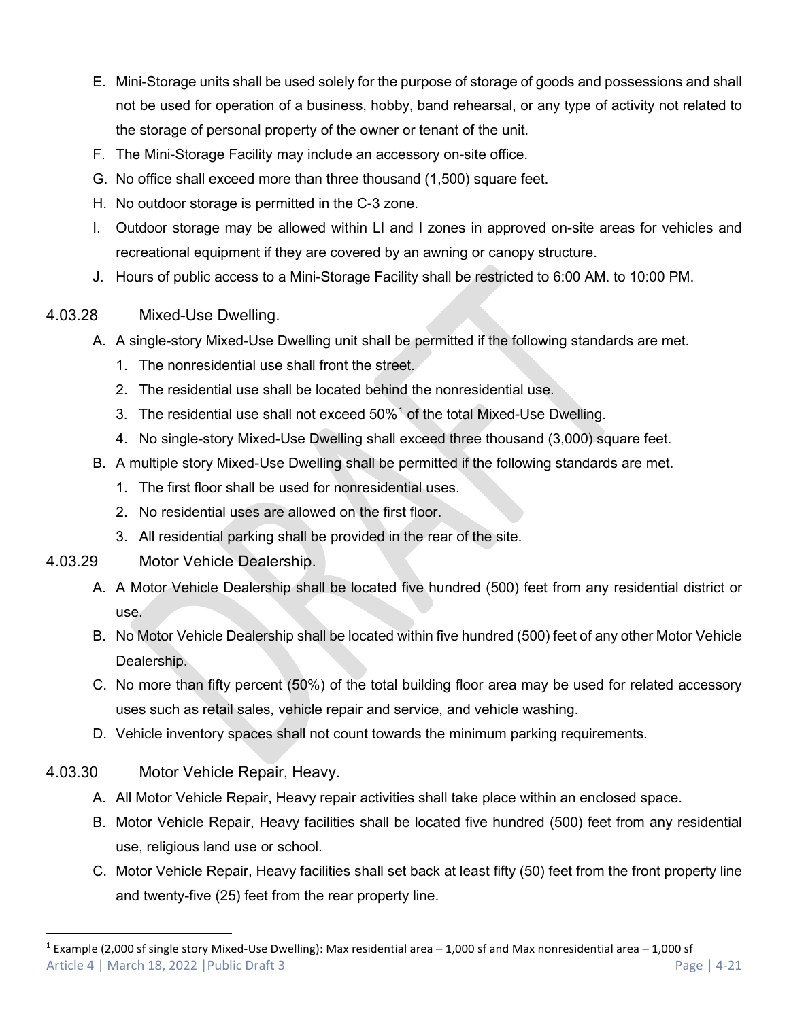- E. Mini-Storage units shall be used solely for the purpose of storage of goods and possessions and shall not be used for operation of a business, hobby, band rehearsal, or any type of activity not related to the storage of personal property of the owner or tenant of the unit.
- F. The Mini-Storage Facility may include an accessory on-site office.
- G. No office shall exceed more than three thousand (1,500) square feet.
- H. No outdoor storage is permitted in the C-3 zone.
- I. Outdoor storage may be allowed within LI and I zones in approved on-site areas for vehicles and recreational equipment if they are covered by an awning or canopy structure.
- J. Hours of public access to a Mini-Storage Facility shall be restricted to 6:00 AM. to 10:00 PM.

### 4.03.28 Mixed-Use Dwelling.

- A. A single-story Mixed-Use Dwelling unit shall be permitted if the following standards are met.
	- 1. The nonresidential use shall front the street.
	- 2. The residential use shall be located behind the nonresidential use.
	- 3. The residential use shall not exceed  $50\%$ <sup>[1](#page-20-0)</sup> of the total Mixed-Use Dwelling.
	- 4. No single-story Mixed-Use Dwelling shall exceed three thousand (3,000) square feet.
- B. A multiple story Mixed-Use Dwelling shall be permitted if the following standards are met.
	- 1. The first floor shall be used for nonresidential uses.
	- 2. No residential uses are allowed on the first floor.
	- 3. All residential parking shall be provided in the rear of the site.

# 4.03.29 Motor Vehicle Dealership.

- A. A Motor Vehicle Dealership shall be located five hundred (500) feet from any residential district or use.
- B. No Motor Vehicle Dealership shall be located within five hundred (500) feet of any other Motor Vehicle Dealership.
- C. No more than fifty percent (50%) of the total building floor area may be used for related accessory uses such as retail sales, vehicle repair and service, and vehicle washing.
- D. Vehicle inventory spaces shall not count towards the minimum parking requirements.

# 4.03.30 Motor Vehicle Repair, Heavy.

- A. All Motor Vehicle Repair, Heavy repair activities shall take place within an enclosed space.
- B. Motor Vehicle Repair, Heavy facilities shall be located five hundred (500) feet from any residential use, religious land use or school.
- C. Motor Vehicle Repair, Heavy facilities shall set back at least fifty (50) feet from the front property line and twenty-five (25) feet from the rear property line.

<span id="page-20-0"></span>Article 4 | March 18, 2022 | Public Draft 3 Page | 4-21 <sup>1</sup> Example (2,000 sf single story Mixed-Use Dwelling): Max residential area  $-$  1,000 sf and Max nonresidential area  $-$  1,000 sf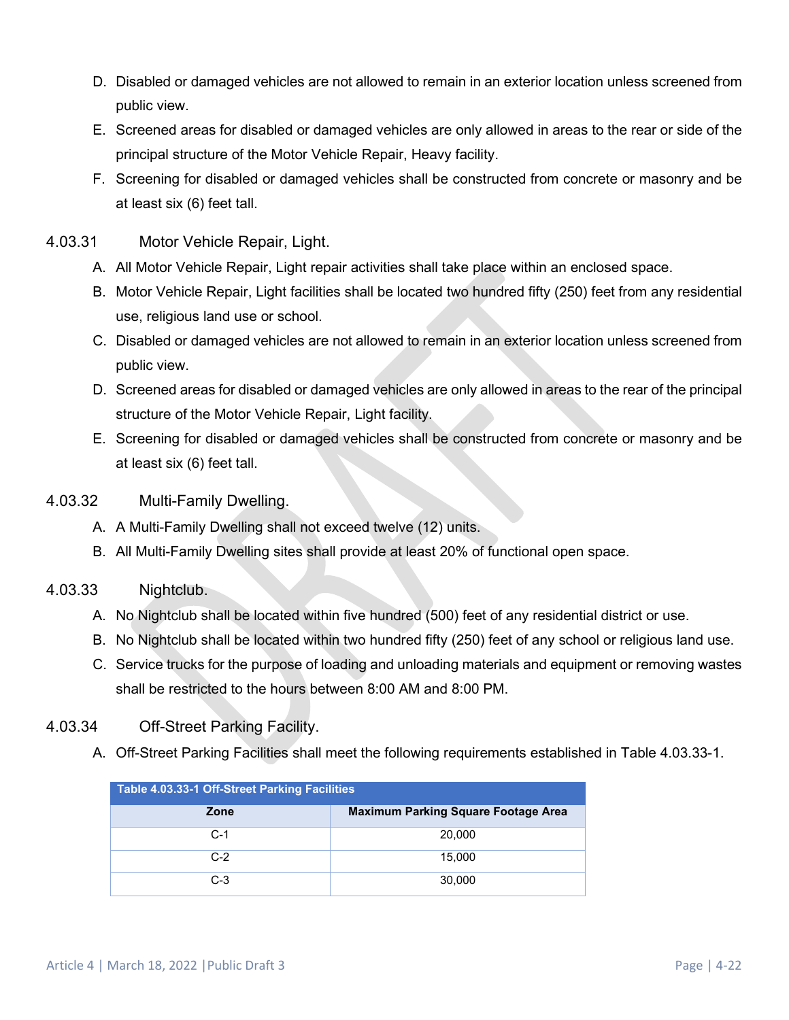- D. Disabled or damaged vehicles are not allowed to remain in an exterior location unless screened from public view.
- E. Screened areas for disabled or damaged vehicles are only allowed in areas to the rear or side of the principal structure of the Motor Vehicle Repair, Heavy facility.
- F. Screening for disabled or damaged vehicles shall be constructed from concrete or masonry and be at least six (6) feet tall.
- 4.03.31 Motor Vehicle Repair, Light.
	- A. All Motor Vehicle Repair, Light repair activities shall take place within an enclosed space.
	- B. Motor Vehicle Repair, Light facilities shall be located two hundred fifty (250) feet from any residential use, religious land use or school.
	- C. Disabled or damaged vehicles are not allowed to remain in an exterior location unless screened from public view.
	- D. Screened areas for disabled or damaged vehicles are only allowed in areas to the rear of the principal structure of the Motor Vehicle Repair, Light facility.
	- E. Screening for disabled or damaged vehicles shall be constructed from concrete or masonry and be at least six (6) feet tall.
- 4.03.32 Multi-Family Dwelling.
	- A. A Multi-Family Dwelling shall not exceed twelve (12) units.
	- B. All Multi-Family Dwelling sites shall provide at least 20% of functional open space.

#### 4.03.33 Nightclub.

- A. No Nightclub shall be located within five hundred (500) feet of any residential district or use.
- B. No Nightclub shall be located within two hundred fifty (250) feet of any school or religious land use.
- C. Service trucks for the purpose of loading and unloading materials and equipment or removing wastes shall be restricted to the hours between 8:00 AM and 8:00 PM.

#### 4.03.34 Off-Street Parking Facility.

A. Off-Street Parking Facilities shall meet the following requirements established in Table 4.03.33-1.

| <b>Table 4.03.33-1 Off-Street Parking Facilities</b> |                                            |  |  |  |  |  |  |
|------------------------------------------------------|--------------------------------------------|--|--|--|--|--|--|
| Zone                                                 | <b>Maximum Parking Square Footage Area</b> |  |  |  |  |  |  |
| $C-1$                                                | 20,000                                     |  |  |  |  |  |  |
| $C-2$                                                | 15.000                                     |  |  |  |  |  |  |
| $C-3$                                                | 30,000                                     |  |  |  |  |  |  |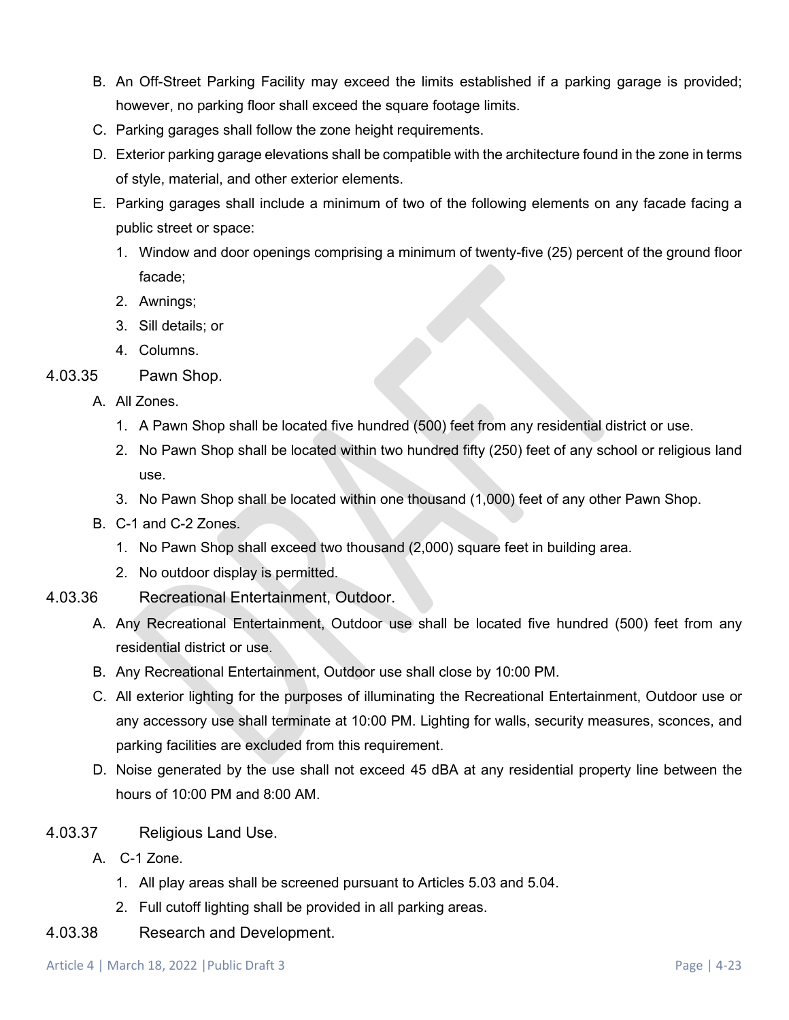- B. An Off-Street Parking Facility may exceed the limits established if a parking garage is provided; however, no parking floor shall exceed the square footage limits.
- C. Parking garages shall follow the zone height requirements.
- D. Exterior parking garage elevations shall be compatible with the architecture found in the zone in terms of style, material, and other exterior elements.
- E. Parking garages shall include a minimum of two of the following elements on any facade facing a public street or space:
	- 1. Window and door openings comprising a minimum of twenty-five (25) percent of the ground floor facade;
	- 2. Awnings;
	- 3. Sill details; or
	- 4. Columns.
- 4.03.35 Pawn Shop.
	- A. All Zones.
		- 1. A Pawn Shop shall be located five hundred (500) feet from any residential district or use.
		- 2. No Pawn Shop shall be located within two hundred fifty (250) feet of any school or religious land use.
		- 3. No Pawn Shop shall be located within one thousand (1,000) feet of any other Pawn Shop.
	- B. C-1 and C-2 Zones.
		- 1. No Pawn Shop shall exceed two thousand (2,000) square feet in building area.
		- 2. No outdoor display is permitted.
- 4.03.36 Recreational Entertainment, Outdoor.
	- A. Any Recreational Entertainment, Outdoor use shall be located five hundred (500) feet from any residential district or use.
	- B. Any Recreational Entertainment, Outdoor use shall close by 10:00 PM.
	- C. All exterior lighting for the purposes of illuminating the Recreational Entertainment, Outdoor use or any accessory use shall terminate at 10:00 PM. Lighting for walls, security measures, sconces, and parking facilities are excluded from this requirement.
	- D. Noise generated by the use shall not exceed 45 dBA at any residential property line between the hours of 10:00 PM and 8:00 AM.
- 4.03.37 Religious Land Use.
	- A. C-1 Zone.
		- 1. All play areas shall be screened pursuant to Articles 5.03 and 5.04.
		- 2. Full cutoff lighting shall be provided in all parking areas.
- 4.03.38 Research and Development.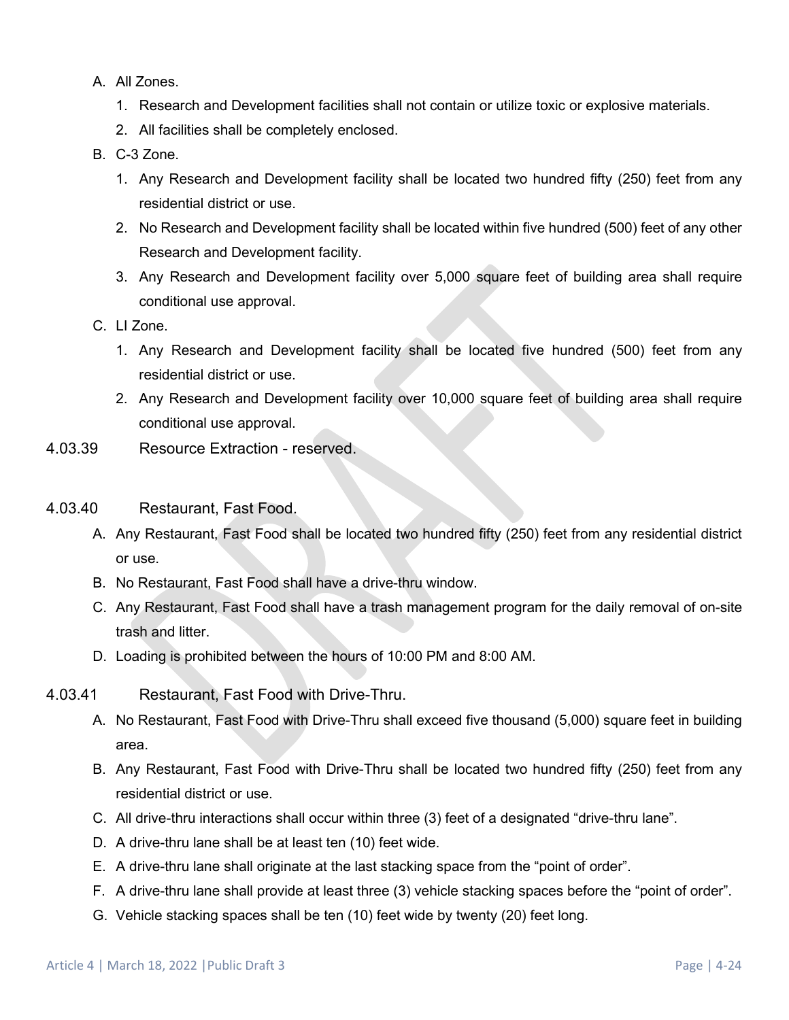- A. All Zones.
	- 1. Research and Development facilities shall not contain or utilize toxic or explosive materials.
	- 2. All facilities shall be completely enclosed.
- B. C-3 Zone.
	- 1. Any Research and Development facility shall be located two hundred fifty (250) feet from any residential district or use.
	- 2. No Research and Development facility shall be located within five hundred (500) feet of any other Research and Development facility.
	- 3. Any Research and Development facility over 5,000 square feet of building area shall require conditional use approval.
- C. LI Zone.
	- 1. Any Research and Development facility shall be located five hundred (500) feet from any residential district or use.
	- 2. Any Research and Development facility over 10,000 square feet of building area shall require conditional use approval.
- 4.03.39 Resource Extraction reserved.
- 4.03.40 Restaurant, Fast Food.
	- A. Any Restaurant, Fast Food shall be located two hundred fifty (250) feet from any residential district or use.
	- B. No Restaurant, Fast Food shall have a drive-thru window.
	- C. Any Restaurant, Fast Food shall have a trash management program for the daily removal of on-site trash and litter.
	- D. Loading is prohibited between the hours of 10:00 PM and 8:00 AM.
- 4.03.41 Restaurant, Fast Food with Drive-Thru.
	- A. No Restaurant, Fast Food with Drive-Thru shall exceed five thousand (5,000) square feet in building area.
	- B. Any Restaurant, Fast Food with Drive-Thru shall be located two hundred fifty (250) feet from any residential district or use.
	- C. All drive-thru interactions shall occur within three (3) feet of a designated "drive-thru lane".
	- D. A drive-thru lane shall be at least ten (10) feet wide.
	- E. A drive-thru lane shall originate at the last stacking space from the "point of order".
	- F. A drive-thru lane shall provide at least three (3) vehicle stacking spaces before the "point of order".
	- G. Vehicle stacking spaces shall be ten (10) feet wide by twenty (20) feet long.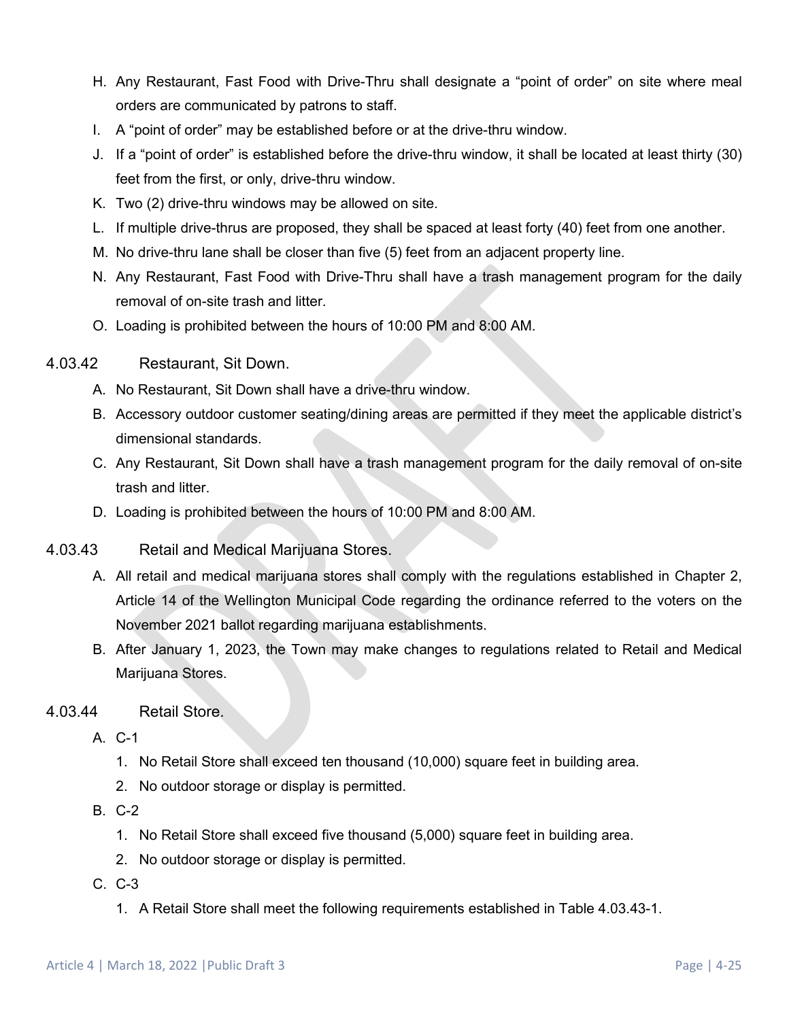- H. Any Restaurant, Fast Food with Drive-Thru shall designate a "point of order" on site where meal orders are communicated by patrons to staff.
- I. A "point of order" may be established before or at the drive-thru window.
- J. If a "point of order" is established before the drive-thru window, it shall be located at least thirty (30) feet from the first, or only, drive-thru window.
- K. Two (2) drive-thru windows may be allowed on site.
- L. If multiple drive-thrus are proposed, they shall be spaced at least forty (40) feet from one another.
- M. No drive-thru lane shall be closer than five (5) feet from an adjacent property line.
- N. Any Restaurant, Fast Food with Drive-Thru shall have a trash management program for the daily removal of on-site trash and litter.
- O. Loading is prohibited between the hours of 10:00 PM and 8:00 AM.
- 4.03.42 Restaurant, Sit Down.
	- A. No Restaurant, Sit Down shall have a drive-thru window.
	- B. Accessory outdoor customer seating/dining areas are permitted if they meet the applicable district's dimensional standards.
	- C. Any Restaurant, Sit Down shall have a trash management program for the daily removal of on-site trash and litter.
	- D. Loading is prohibited between the hours of 10:00 PM and 8:00 AM.
- 4.03.43 Retail and Medical Marijuana Stores.
	- A. All retail and medical marijuana stores shall comply with the regulations established in Chapter 2, Article 14 of the Wellington Municipal Code regarding the ordinance referred to the voters on the November 2021 ballot regarding marijuana establishments.
	- B. After January 1, 2023, the Town may make changes to regulations related to Retail and Medical Marijuana Stores.

#### 4.03.44 Retail Store.

- A. C-1
	- 1. No Retail Store shall exceed ten thousand (10,000) square feet in building area.
	- 2. No outdoor storage or display is permitted.
- B. C-2
	- 1. No Retail Store shall exceed five thousand (5,000) square feet in building area.
	- 2. No outdoor storage or display is permitted.
- C. C-3
	- 1. A Retail Store shall meet the following requirements established in Table 4.03.43-1.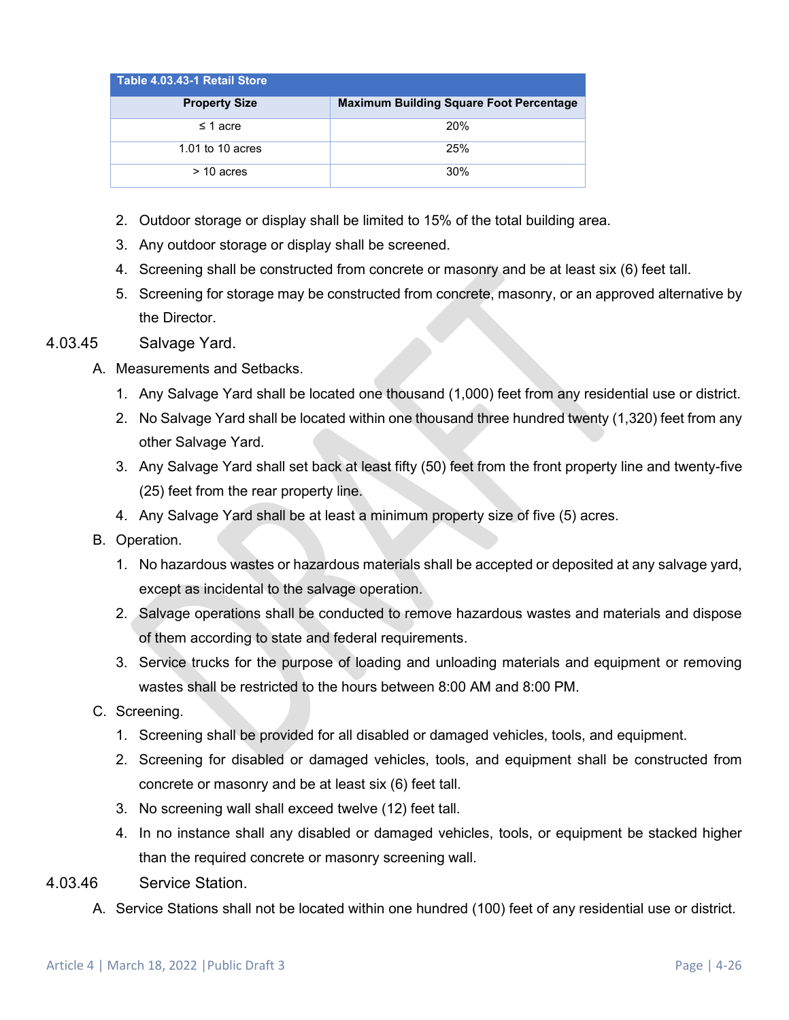| Table 4.03.43-1 Retail Store |                                                |
|------------------------------|------------------------------------------------|
| <b>Property Size</b>         | <b>Maximum Building Square Foot Percentage</b> |
| $\leq$ 1 acre                | 20%                                            |
| 1.01 to 10 acres             | 25%                                            |
| $>$ 10 acres                 | 30%                                            |

- 2. Outdoor storage or display shall be limited to 15% of the total building area.
- 3. Any outdoor storage or display shall be screened.
- 4. Screening shall be constructed from concrete or masonry and be at least six (6) feet tall.
- 5. Screening for storage may be constructed from concrete, masonry, or an approved alternative by the Director.

#### 4.03.45 Salvage Yard.

- A. Measurements and Setbacks.
	- 1. Any Salvage Yard shall be located one thousand (1,000) feet from any residential use or district.
	- 2. No Salvage Yard shall be located within one thousand three hundred twenty (1,320) feet from any other Salvage Yard.
	- 3. Any Salvage Yard shall set back at least fifty (50) feet from the front property line and twenty-five (25) feet from the rear property line.
	- 4. Any Salvage Yard shall be at least a minimum property size of five (5) acres.
- B. Operation.
	- 1. No hazardous wastes or hazardous materials shall be accepted or deposited at any salvage yard, except as incidental to the salvage operation.
	- 2. Salvage operations shall be conducted to remove hazardous wastes and materials and dispose of them according to state and federal requirements.
	- 3. Service trucks for the purpose of loading and unloading materials and equipment or removing wastes shall be restricted to the hours between 8:00 AM and 8:00 PM.
- C. Screening.
	- 1. Screening shall be provided for all disabled or damaged vehicles, tools, and equipment.
	- 2. Screening for disabled or damaged vehicles, tools, and equipment shall be constructed from concrete or masonry and be at least six (6) feet tall.
	- 3. No screening wall shall exceed twelve (12) feet tall.
	- 4. In no instance shall any disabled or damaged vehicles, tools, or equipment be stacked higher than the required concrete or masonry screening wall.
- 4.03.46 Service Station.
	- A. Service Stations shall not be located within one hundred (100) feet of any residential use or district.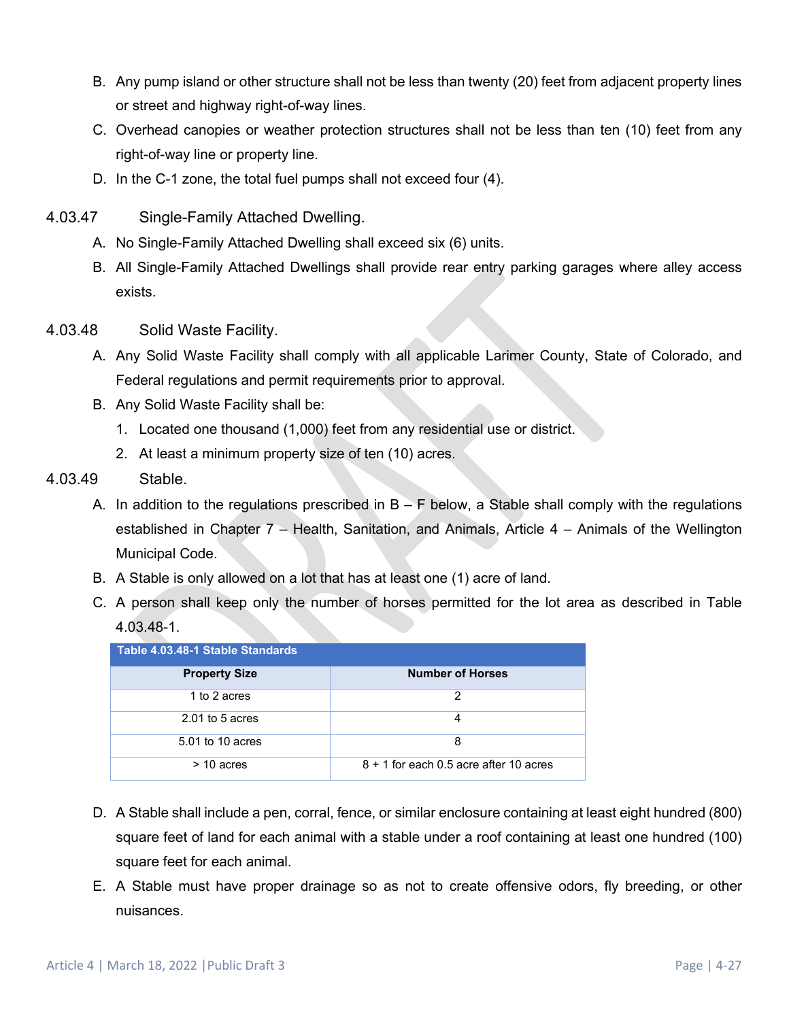- B. Any pump island or other structure shall not be less than twenty (20) feet from adjacent property lines or street and highway right-of-way lines.
- C. Overhead canopies or weather protection structures shall not be less than ten (10) feet from any right-of-way line or property line.
- D. In the C-1 zone, the total fuel pumps shall not exceed four (4).
- 4.03.47 Single-Family Attached Dwelling.
	- A. No Single-Family Attached Dwelling shall exceed six (6) units.
	- B. All Single-Family Attached Dwellings shall provide rear entry parking garages where alley access exists.
- 4.03.48 Solid Waste Facility.
	- A. Any Solid Waste Facility shall comply with all applicable Larimer County, State of Colorado, and Federal regulations and permit requirements prior to approval.
	- B. Any Solid Waste Facility shall be:
		- 1. Located one thousand (1,000) feet from any residential use or district.
		- 2. At least a minimum property size of ten (10) acres.
- 4.03.49 Stable.
	- A. In addition to the regulations prescribed in  $B F$  below, a Stable shall comply with the regulations established in Chapter 7 – Health, Sanitation, and Animals, Article 4 – Animals of the Wellington Municipal Code.
	- B. A Stable is only allowed on a lot that has at least one (1) acre of land.
	- C. A person shall keep only the number of horses permitted for the lot area as described in Table 4.03.48-1.

| Table 4.03.48-1 Stable Standards |                                          |  |  |  |  |  |  |  |  |
|----------------------------------|------------------------------------------|--|--|--|--|--|--|--|--|
| <b>Property Size</b>             | <b>Number of Horses</b>                  |  |  |  |  |  |  |  |  |
| 1 to 2 acres                     | 2                                        |  |  |  |  |  |  |  |  |
| $2.01$ to 5 acres                | л                                        |  |  |  |  |  |  |  |  |
| 5.01 to 10 acres                 | 8                                        |  |  |  |  |  |  |  |  |
| $>$ 10 acres                     | $8 + 1$ for each 0.5 acre after 10 acres |  |  |  |  |  |  |  |  |

- D. A Stable shall include a pen, corral, fence, or similar enclosure containing at least eight hundred (800) square feet of land for each animal with a stable under a roof containing at least one hundred (100) square feet for each animal.
- E. A Stable must have proper drainage so as not to create offensive odors, fly breeding, or other nuisances.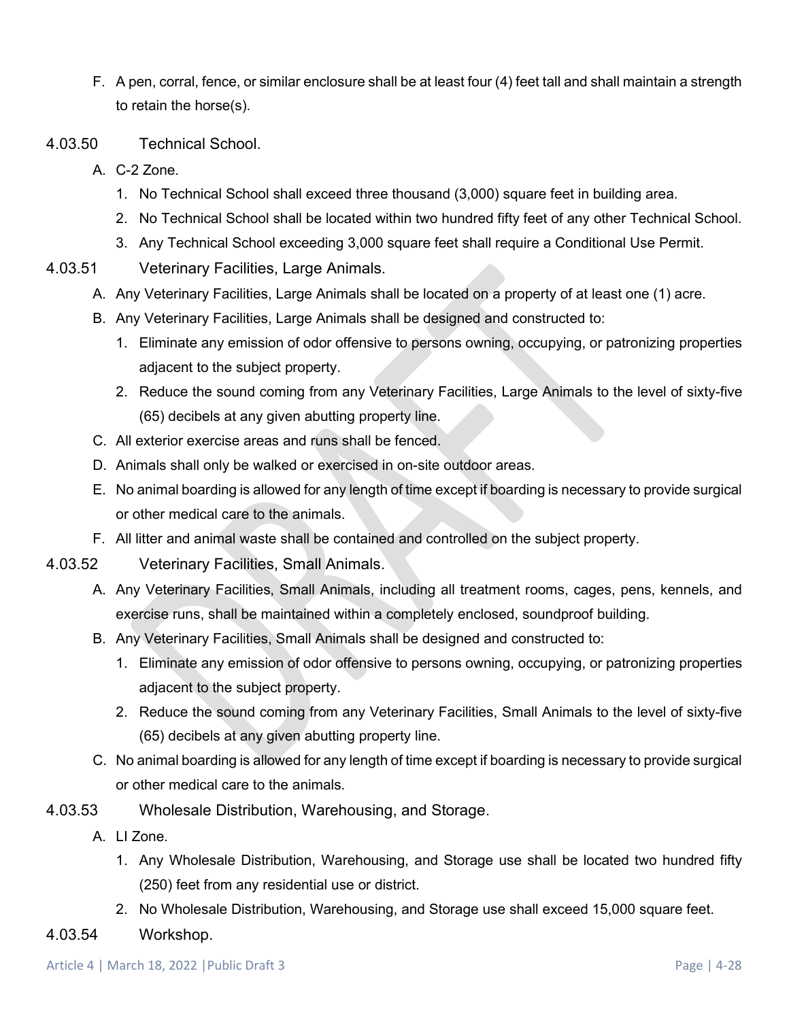- F. A pen, corral, fence, or similar enclosure shall be at least four (4) feet tall and shall maintain a strength to retain the horse(s).
- 4.03.50 Technical School.
	- A. C-2 Zone.
		- 1. No Technical School shall exceed three thousand (3,000) square feet in building area.
		- 2. No Technical School shall be located within two hundred fifty feet of any other Technical School.
		- 3. Any Technical School exceeding 3,000 square feet shall require a Conditional Use Permit.
- 4.03.51 Veterinary Facilities, Large Animals.
	- A. Any Veterinary Facilities, Large Animals shall be located on a property of at least one (1) acre.
	- B. Any Veterinary Facilities, Large Animals shall be designed and constructed to:
		- 1. Eliminate any emission of odor offensive to persons owning, occupying, or patronizing properties adjacent to the subject property.
		- 2. Reduce the sound coming from any Veterinary Facilities, Large Animals to the level of sixty-five (65) decibels at any given abutting property line.
	- C. All exterior exercise areas and runs shall be fenced.
	- D. Animals shall only be walked or exercised in on-site outdoor areas.
	- E. No animal boarding is allowed for any length of time except if boarding is necessary to provide surgical or other medical care to the animals.
	- F. All litter and animal waste shall be contained and controlled on the subject property.
- 4.03.52 Veterinary Facilities, Small Animals.
	- A. Any Veterinary Facilities, Small Animals, including all treatment rooms, cages, pens, kennels, and exercise runs, shall be maintained within a completely enclosed, soundproof building.
	- B. Any Veterinary Facilities, Small Animals shall be designed and constructed to:
		- 1. Eliminate any emission of odor offensive to persons owning, occupying, or patronizing properties adjacent to the subject property.
		- 2. Reduce the sound coming from any Veterinary Facilities, Small Animals to the level of sixty-five (65) decibels at any given abutting property line.
	- C. No animal boarding is allowed for any length of time except if boarding is necessary to provide surgical or other medical care to the animals.
- 4.03.53 Wholesale Distribution, Warehousing, and Storage.
	- A. LI Zone.
		- 1. Any Wholesale Distribution, Warehousing, and Storage use shall be located two hundred fifty (250) feet from any residential use or district.
		- 2. No Wholesale Distribution, Warehousing, and Storage use shall exceed 15,000 square feet.
- 4.03.54 Workshop.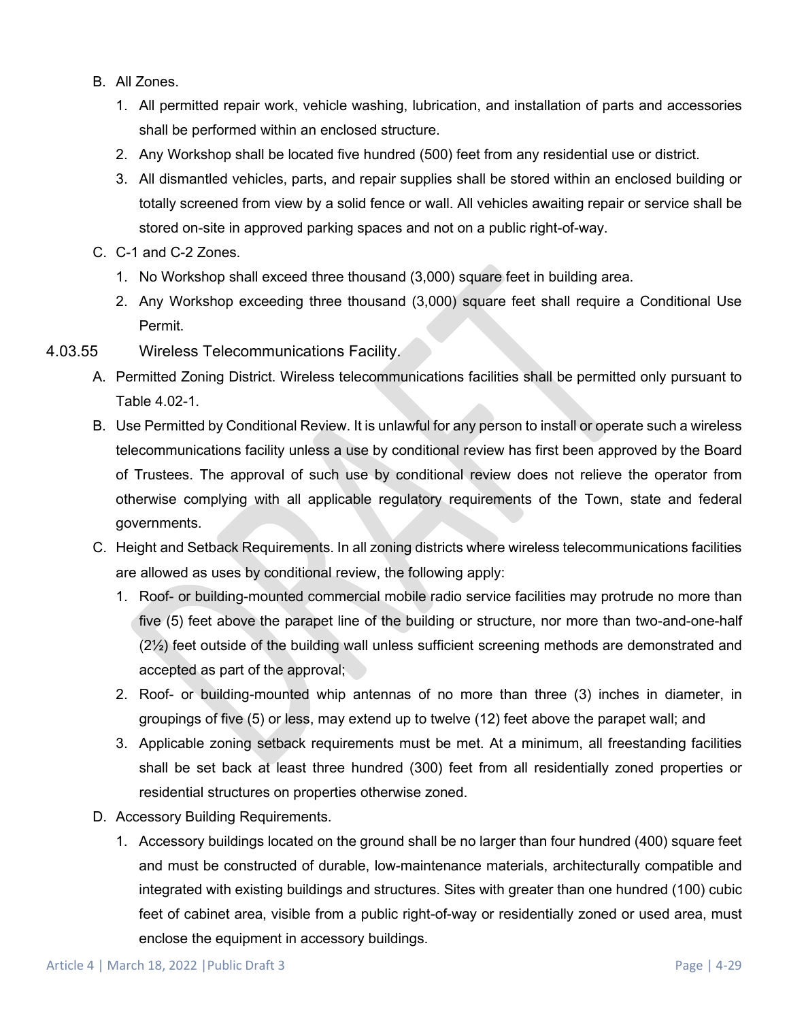- B. All Zones.
	- 1. All permitted repair work, vehicle washing, lubrication, and installation of parts and accessories shall be performed within an enclosed structure.
	- 2. Any Workshop shall be located five hundred (500) feet from any residential use or district.
	- 3. All dismantled vehicles, parts, and repair supplies shall be stored within an enclosed building or totally screened from view by a solid fence or wall. All vehicles awaiting repair or service shall be stored on-site in approved parking spaces and not on a public right-of-way.
- C. C-1 and C-2 Zones.
	- 1. No Workshop shall exceed three thousand (3,000) square feet in building area.
	- 2. Any Workshop exceeding three thousand (3,000) square feet shall require a Conditional Use Permit.
- 4.03.55 Wireless Telecommunications Facility.
	- A. Permitted Zoning District. Wireless telecommunications facilities shall be permitted only pursuant to Table 4.02-1.
	- B. Use Permitted by Conditional Review. It is unlawful for any person to install or operate such a wireless telecommunications facility unless a use by conditional review has first been approved by the Board of Trustees. The approval of such use by conditional review does not relieve the operator from otherwise complying with all applicable regulatory requirements of the Town, state and federal governments.
	- C. Height and Setback Requirements. In all zoning districts where wireless telecommunications facilities are allowed as uses by conditional review, the following apply:
		- 1. Roof- or building-mounted commercial mobile radio service facilities may protrude no more than five (5) feet above the parapet line of the building or structure, nor more than two-and-one-half  $(2\frac{1}{2})$  feet outside of the building wall unless sufficient screening methods are demonstrated and accepted as part of the approval;
		- 2. Roof- or building-mounted whip antennas of no more than three (3) inches in diameter, in groupings of five (5) or less, may extend up to twelve (12) feet above the parapet wall; and
		- 3. Applicable zoning setback requirements must be met. At a minimum, all freestanding facilities shall be set back at least three hundred (300) feet from all residentially zoned properties or residential structures on properties otherwise zoned.
	- D. Accessory Building Requirements.
		- 1. Accessory buildings located on the ground shall be no larger than four hundred (400) square feet and must be constructed of durable, low-maintenance materials, architecturally compatible and integrated with existing buildings and structures. Sites with greater than one hundred (100) cubic feet of cabinet area, visible from a public right-of-way or residentially zoned or used area, must enclose the equipment in accessory buildings.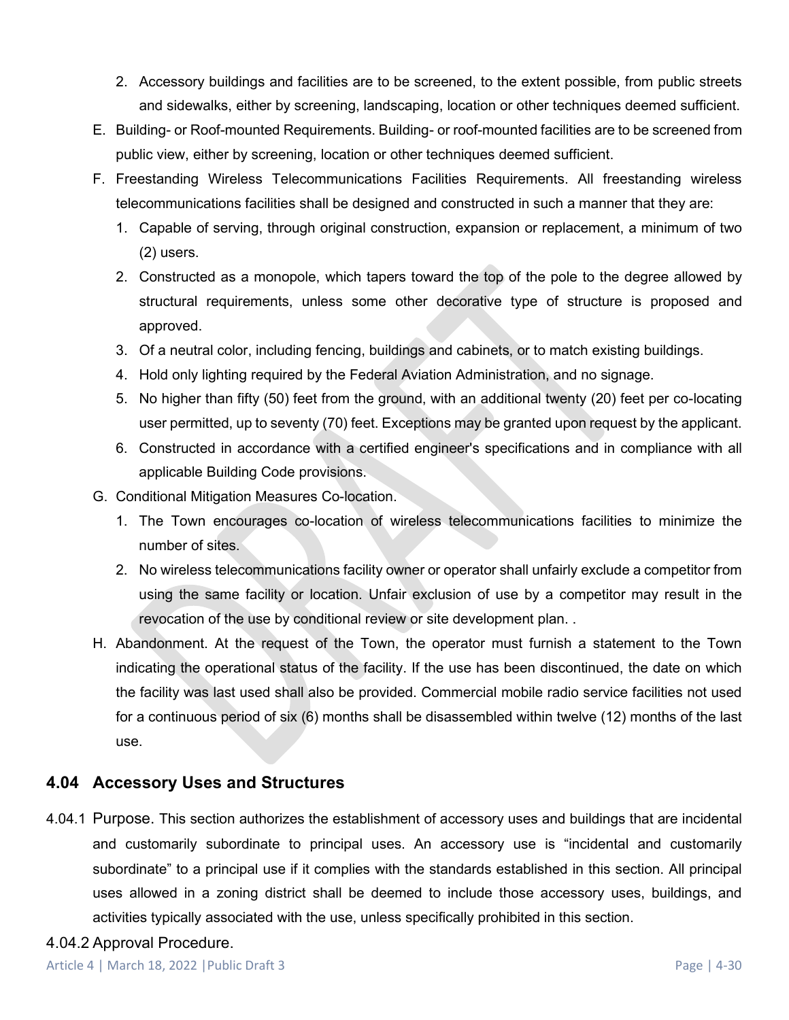- 2. Accessory buildings and facilities are to be screened, to the extent possible, from public streets and sidewalks, either by screening, landscaping, location or other techniques deemed sufficient.
- E. Building- or Roof-mounted Requirements. Building- or roof-mounted facilities are to be screened from public view, either by screening, location or other techniques deemed sufficient.
- F. Freestanding Wireless Telecommunications Facilities Requirements. All freestanding wireless telecommunications facilities shall be designed and constructed in such a manner that they are:
	- 1. Capable of serving, through original construction, expansion or replacement, a minimum of two (2) users.
	- 2. Constructed as a monopole, which tapers toward the top of the pole to the degree allowed by structural requirements, unless some other decorative type of structure is proposed and approved.
	- 3. Of a neutral color, including fencing, buildings and cabinets, or to match existing buildings.
	- 4. Hold only lighting required by the Federal Aviation Administration, and no signage.
	- 5. No higher than fifty (50) feet from the ground, with an additional twenty (20) feet per co-locating user permitted, up to seventy (70) feet. Exceptions may be granted upon request by the applicant.
	- 6. Constructed in accordance with a certified engineer's specifications and in compliance with all applicable Building Code provisions.
- G. Conditional Mitigation Measures Co-location.
	- 1. The Town encourages co-location of wireless telecommunications facilities to minimize the number of sites.
	- 2. No wireless telecommunications facility owner or operator shall unfairly exclude a competitor from using the same facility or location. Unfair exclusion of use by a competitor may result in the revocation of the use by conditional review or site development plan. .
- H. Abandonment. At the request of the Town, the operator must furnish a statement to the Town indicating the operational status of the facility. If the use has been discontinued, the date on which the facility was last used shall also be provided. Commercial mobile radio service facilities not used for a continuous period of six (6) months shall be disassembled within twelve (12) months of the last use.

# <span id="page-29-0"></span>**4.04 Accessory Uses and Structures**

4.04.1 Purpose. This section authorizes the establishment of accessory uses and buildings that are incidental and customarily subordinate to principal uses. An accessory use is "incidental and customarily subordinate" to a principal use if it complies with the standards established in this section. All principal uses allowed in a zoning district shall be deemed to include those accessory uses, buildings, and activities typically associated with the use, unless specifically prohibited in this section.

### 4.04.2 Approval Procedure.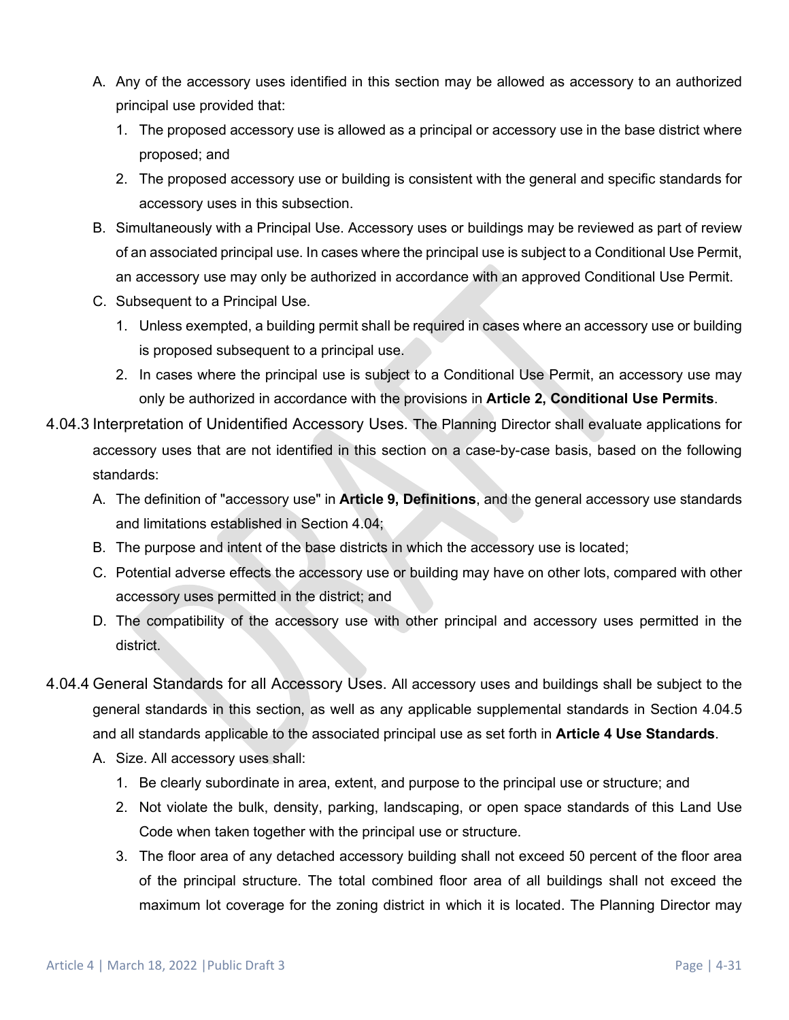- A. Any of the accessory uses identified in this section may be allowed as accessory to an authorized principal use provided that:
	- 1. The proposed accessory use is allowed as a principal or accessory use in the base district where proposed; and
	- 2. The proposed accessory use or building is consistent with the general and specific standards for accessory uses in this subsection.
- B. Simultaneously with a Principal Use. Accessory uses or buildings may be reviewed as part of review of an associated principal use. In cases where the principal use is subject to a Conditional Use Permit, an accessory use may only be authorized in accordance with an approved Conditional Use Permit.
- C. Subsequent to a Principal Use.
	- 1. Unless exempted, a building permit shall be required in cases where an accessory use or building is proposed subsequent to a principal use.
	- 2. In cases where the principal use is subject to a Conditional Use Permit, an accessory use may only be authorized in accordance with the provisions in **Article 2, Conditional Use Permits**.
- 4.04.3 Interpretation of Unidentified Accessory Uses. The Planning Director shall evaluate applications for accessory uses that are not identified in this section on a case-by-case basis, based on the following standards:
	- A. The definition of "accessory use" in **Article 9, Definitions**, and the general accessory use standards and limitations established in Section [4.04;](#page-29-0)
	- B. The purpose and intent of the base districts in which the accessory use is located;
	- C. Potential adverse effects the accessory use or building may have on other lots, compared with other accessory uses permitted in the district; and
	- D. The compatibility of the accessory use with other principal and accessory uses permitted in the district.
- 4.04.4 General Standards for all Accessory Uses. All accessory uses and buildings shall be subject to the general standards in this section, as well as any applicable supplemental standards in Section [4.04.5](#page-31-0) and all standards applicable to the associated principal use as set forth in **Article 4 Use Standards**.
	- A. Size. All accessory uses shall:
		- 1. Be clearly subordinate in area, extent, and purpose to the principal use or structure; and
		- 2. Not violate the bulk, density, parking, landscaping, or open space standards of this Land Use Code when taken together with the principal use or structure.
		- 3. The floor area of any detached accessory building shall not exceed 50 percent of the floor area of the principal structure. The total combined floor area of all buildings shall not exceed the maximum lot coverage for the zoning district in which it is located. The Planning Director may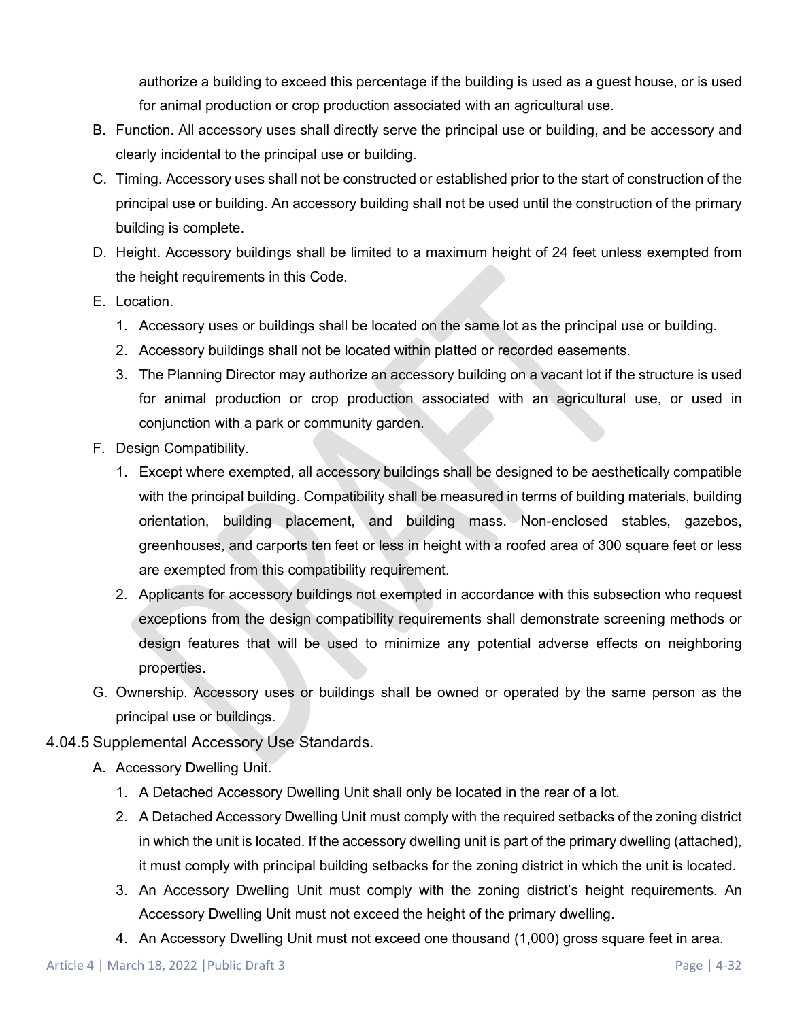authorize a building to exceed this percentage if the building is used as a guest house, or is used for animal production or crop production associated with an agricultural use.

- B. Function. All accessory uses shall directly serve the principal use or building, and be accessory and clearly incidental to the principal use or building.
- C. Timing. Accessory uses shall not be constructed or established prior to the start of construction of the principal use or building. An accessory building shall not be used until the construction of the primary building is complete.
- D. Height. Accessory buildings shall be limited to a maximum height of 24 feet unless exempted from the height requirements in this Code.
- E. Location.
	- 1. Accessory uses or buildings shall be located on the same lot as the principal use or building.
	- 2. Accessory buildings shall not be located within platted or recorded easements.
	- 3. The Planning Director may authorize an accessory building on a vacant lot if the structure is used for animal production or crop production associated with an agricultural use, or used in conjunction with a park or community garden.
- F. Design Compatibility.
	- 1. Except where exempted, all accessory buildings shall be designed to be aesthetically compatible with the principal building. Compatibility shall be measured in terms of building materials, building orientation, building placement, and building mass. Non-enclosed stables, gazebos, greenhouses, and carports ten feet or less in height with a roofed area of 300 square feet or less are exempted from this compatibility requirement.
	- 2. Applicants for accessory buildings not exempted in accordance with this subsection who request exceptions from the design compatibility requirements shall demonstrate screening methods or design features that will be used to minimize any potential adverse effects on neighboring properties.
- G. Ownership. Accessory uses or buildings shall be owned or operated by the same person as the principal use or buildings.

#### <span id="page-31-0"></span>4.04.5 Supplemental Accessory Use Standards.

- A. Accessory Dwelling Unit.
	- 1. A Detached Accessory Dwelling Unit shall only be located in the rear of a lot.
	- 2. A Detached Accessory Dwelling Unit must comply with the required setbacks of the zoning district in which the unit is located. If the accessory dwelling unit is part of the primary dwelling (attached), it must comply with principal building setbacks for the zoning district in which the unit is located.
	- 3. An Accessory Dwelling Unit must comply with the zoning district's height requirements. An Accessory Dwelling Unit must not exceed the height of the primary dwelling.
	- 4. An Accessory Dwelling Unit must not exceed one thousand (1,000) gross square feet in area.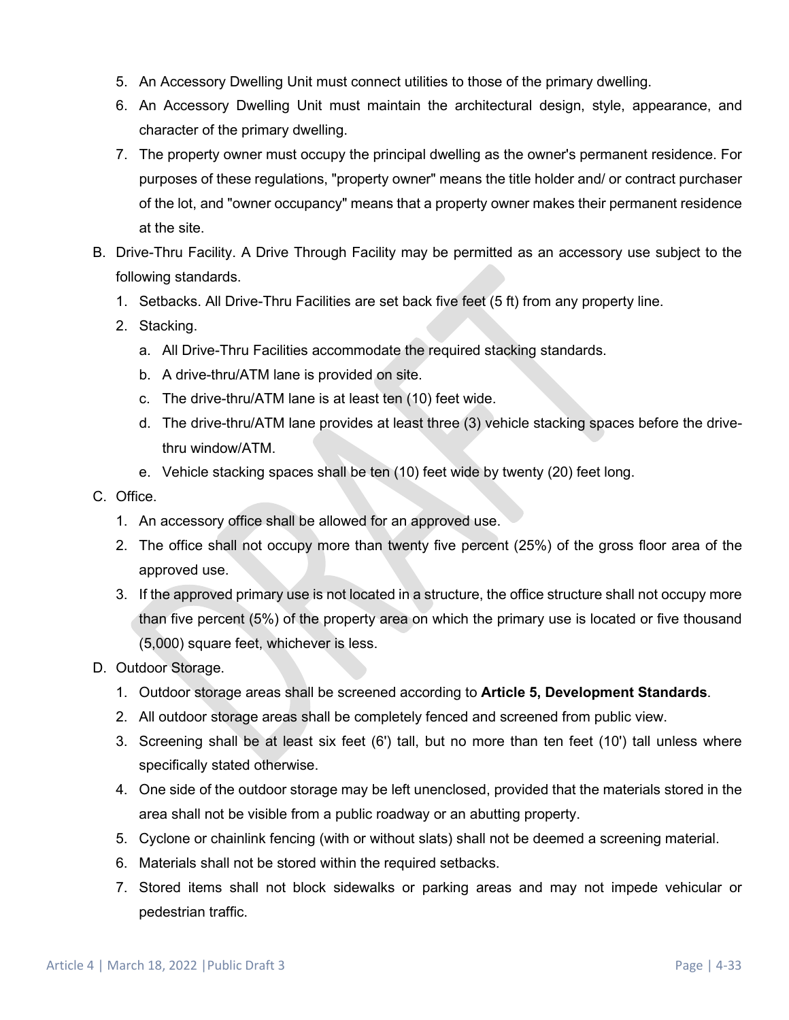- 5. An Accessory Dwelling Unit must connect utilities to those of the primary dwelling.
- 6. An Accessory Dwelling Unit must maintain the architectural design, style, appearance, and character of the primary dwelling.
- 7. The property owner must occupy the principal dwelling as the owner's permanent residence. For purposes of these regulations, "property owner" means the title holder and/ or contract purchaser of the lot, and "owner occupancy" means that a property owner makes their permanent residence at the site.
- B. Drive-Thru Facility. A Drive Through Facility may be permitted as an accessory use subject to the following standards.
	- 1. Setbacks. All Drive-Thru Facilities are set back five feet (5 ft) from any property line.
	- 2. Stacking.
		- a. All Drive-Thru Facilities accommodate the required stacking standards.
		- b. A drive-thru/ATM lane is provided on site.
		- c. The drive-thru/ATM lane is at least ten (10) feet wide.
		- d. The drive-thru/ATM lane provides at least three (3) vehicle stacking spaces before the drivethru window/ATM.
		- e. Vehicle stacking spaces shall be ten (10) feet wide by twenty (20) feet long.
- <span id="page-32-1"></span>C. Office.
	- 1. An accessory office shall be allowed for an approved use.
	- 2. The office shall not occupy more than twenty five percent (25%) of the gross floor area of the approved use.
	- 3. If the approved primary use is not located in a structure, the office structure shall not occupy more than five percent (5%) of the property area on which the primary use is located or five thousand (5,000) square feet, whichever is less.
- <span id="page-32-0"></span>D. Outdoor Storage.
	- 1. Outdoor storage areas shall be screened according to **Article 5, Development Standards**.
	- 2. All outdoor storage areas shall be completely fenced and screened from public view.
	- 3. Screening shall be at least six feet (6') tall, but no more than ten feet (10') tall unless where specifically stated otherwise.
	- 4. One side of the outdoor storage may be left unenclosed, provided that the materials stored in the area shall not be visible from a public roadway or an abutting property.
	- 5. Cyclone or chainlink fencing (with or without slats) shall not be deemed a screening material.
	- 6. Materials shall not be stored within the required setbacks.
	- 7. Stored items shall not block sidewalks or parking areas and may not impede vehicular or pedestrian traffic.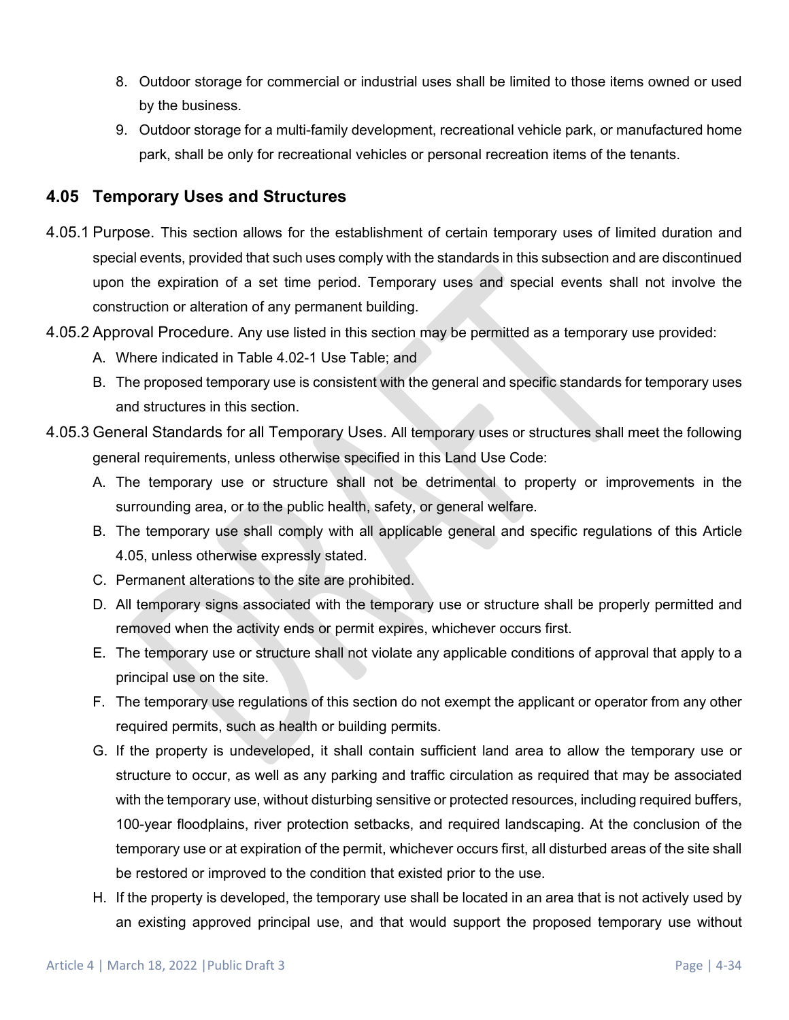- 8. Outdoor storage for commercial or industrial uses shall be limited to those items owned or used by the business.
- 9. Outdoor storage for a multi-family development, recreational vehicle park, or manufactured home park, shall be only for recreational vehicles or personal recreation items of the tenants.

## <span id="page-33-0"></span>**4.05 Temporary Uses and Structures**

- 4.05.1 Purpose. This section allows for the establishment of certain temporary uses of limited duration and special events, provided that such uses comply with the standards in this subsection and are discontinued upon the expiration of a set time period. Temporary uses and special events shall not involve the construction or alteration of any permanent building.
- 4.05.2 Approval Procedure. Any use listed in this section may be permitted as a temporary use provided:
	- A. Where indicated in Table 4.02-1 Use Table; and
	- B. The proposed temporary use is consistent with the general and specific standards for temporary uses and structures in this section.
- 4.05.3 General Standards for all Temporary Uses. All temporary uses or structures shall meet the following general requirements, unless otherwise specified in this Land Use Code:
	- A. The temporary use or structure shall not be detrimental to property or improvements in the surrounding area, or to the public health, safety, or general welfare.
	- B. The temporary use shall comply with all applicable general and specific regulations of this Article [4.05,](#page-33-0) unless otherwise expressly stated.
	- C. Permanent alterations to the site are prohibited.
	- D. All temporary signs associated with the temporary use or structure shall be properly permitted and removed when the activity ends or permit expires, whichever occurs first.
	- E. The temporary use or structure shall not violate any applicable conditions of approval that apply to a principal use on the site.
	- F. The temporary use regulations of this section do not exempt the applicant or operator from any other required permits, such as health or building permits.
	- G. If the property is undeveloped, it shall contain sufficient land area to allow the temporary use or structure to occur, as well as any parking and traffic circulation as required that may be associated with the temporary use, without disturbing sensitive or protected resources, including required buffers, 100-year floodplains, river protection setbacks, and required landscaping. At the conclusion of the temporary use or at expiration of the permit, whichever occurs first, all disturbed areas of the site shall be restored or improved to the condition that existed prior to the use.
	- H. If the property is developed, the temporary use shall be located in an area that is not actively used by an existing approved principal use, and that would support the proposed temporary use without